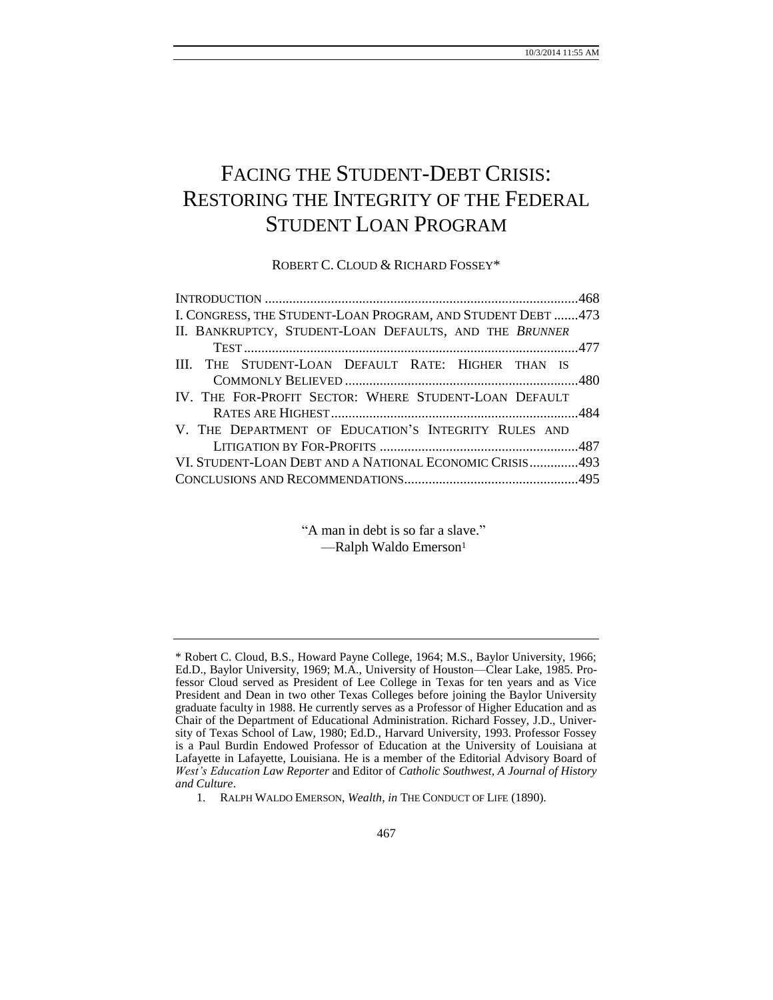# FACING THE STUDENT-DEBT CRISIS: RESTORING THE INTEGRITY OF THE FEDERAL STUDENT LOAN PROGRAM

ROBERT C. CLOUD & RICHARD FOSSEY\*

| I. CONGRESS, THE STUDENT-LOAN PROGRAM, AND STUDENT DEBT 473 |  |
|-------------------------------------------------------------|--|
| II. BANKRUPTCY, STUDENT-LOAN DEFAULTS, AND THE BRUNNER      |  |
|                                                             |  |
| III. THE STUDENT-LOAN DEFAULT RATE: HIGHER THAN IS          |  |
|                                                             |  |
| IV. THE FOR-PROFIT SECTOR: WHERE STUDENT-LOAN DEFAULT       |  |
|                                                             |  |
| V. THE DEPARTMENT OF EDUCATION'S INTEGRITY RULES AND        |  |
|                                                             |  |
| VI. STUDENT-LOAN DEBT AND A NATIONAL ECONOMIC CRISIS493     |  |
|                                                             |  |
|                                                             |  |

"A man in debt is so far a slave." -Ralph Waldo Emerson<sup>1</sup>

<sup>\*</sup> Robert C. Cloud, B.S., Howard Payne College, 1964; M.S., Baylor University, 1966; Ed.D., Baylor University, 1969; M.A., University of Houston—Clear Lake, 1985. Professor Cloud served as President of Lee College in Texas for ten years and as Vice President and Dean in two other Texas Colleges before joining the Baylor University graduate faculty in 1988. He currently serves as a Professor of Higher Education and as Chair of the Department of Educational Administration. Richard Fossey, J.D., University of Texas School of Law, 1980; Ed.D., Harvard University, 1993. Professor Fossey is a Paul Burdin Endowed Professor of Education at the University of Louisiana at Lafayette in Lafayette, Louisiana. He is a member of the Editorial Advisory Board of *West's Education Law Reporter* and Editor of *Catholic Southwest, A Journal of History and Culture*.

<sup>1.</sup> RALPH WALDO EMERSON, *Wealth*, *in* THE CONDUCT OF LIFE (1890).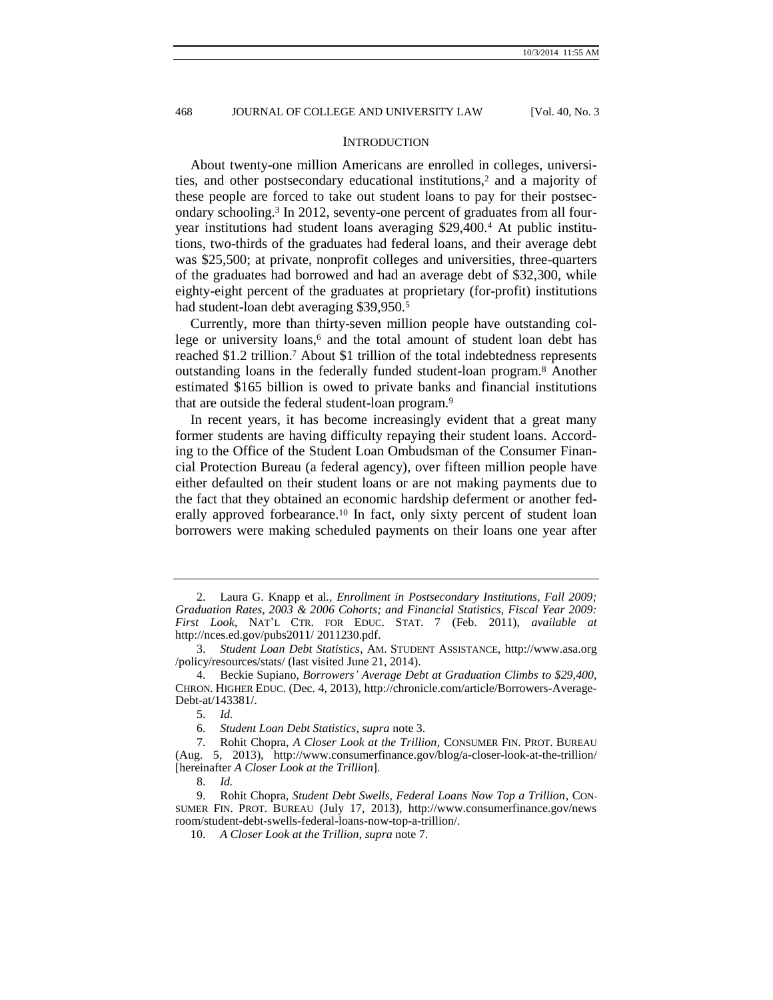#### <span id="page-1-0"></span>**INTRODUCTION**

About twenty-one million Americans are enrolled in colleges, universities, and other postsecondary educational institutions,<sup>2</sup> and a majority of these people are forced to take out student loans to pay for their postsecondary schooling.<sup>3</sup> In 2012, seventy-one percent of graduates from all fouryear institutions had student loans averaging \$29,400.<sup>4</sup> At public institutions, two-thirds of the graduates had federal loans, and their average debt was \$25,500; at private, nonprofit colleges and universities, three-quarters of the graduates had borrowed and had an average debt of \$32,300, while eighty-eight percent of the graduates at proprietary (for-profit) institutions had student-loan debt averaging \$39,950.<sup>5</sup>

<span id="page-1-1"></span>Currently, more than thirty-seven million people have outstanding college or university loans,<sup>6</sup> and the total amount of student loan debt has reached \$1.2 trillion.<sup>7</sup> About \$1 trillion of the total indebtedness represents outstanding loans in the federally funded student-loan program.<sup>8</sup> Another estimated \$165 billion is owed to private banks and financial institutions that are outside the federal student-loan program.<sup>9</sup>

In recent years, it has become increasingly evident that a great many former students are having difficulty repaying their student loans. According to the Office of the Student Loan Ombudsman of the Consumer Financial Protection Bureau (a federal agency), over fifteen million people have either defaulted on their student loans or are not making payments due to the fact that they obtained an economic hardship deferment or another federally approved forbearance.<sup>10</sup> In fact, only sixty percent of student loan borrowers were making scheduled payments on their loans one year after

<sup>2.</sup> Laura G. Knapp et al*., Enrollment in Postsecondary Institutions, Fall 2009; Graduation Rates, 2003 & 2006 Cohorts; and Financial Statistics, Fiscal Year 2009: First Look*, NAT'L CTR. FOR EDUC. STAT. 7 (Feb. 2011), *available at*  http://nces.ed.gov/pubs2011/ 2011230.pdf.

<sup>3.</sup> *Student Loan Debt Statistics*, AM. STUDENT ASSISTANCE, http://www.asa.org /policy/resources/stats/ (last visited June 21, 2014).

<sup>4.</sup> Beckie Supiano, *Borrowers' Average Debt at Graduation Climbs to \$29,400,*  CHRON. HIGHER EDUC. (Dec. 4*,* 2013), http://chronicle.com/article/Borrowers-Average-Debt-at/143381/.

<sup>5.</sup> *Id.*

<sup>6.</sup> *Student Loan Debt Statistics, supra* note [3.](#page-1-0)

<sup>7.</sup> Rohit Chopra, *A Closer Look at the Trillion*, CONSUMER FIN. PROT. BUREAU (Aug. 5, 2013), http://www.consumerfinance.gov/blog/a-closer-look-at-the-trillion/ [hereinafter *A Closer Look at the Trillion*].

<sup>8.</sup> *Id.*

<sup>9.</sup> Rohit Chopra, *Student Debt Swells, Federal Loans Now Top a Trillion*, CON-SUMER FIN. PROT. BUREAU (July 17, 2013), http://www.consumerfinance.gov/news room/student-debt-swells-federal-loans-now-top-a-trillion/.

<sup>10.</sup> *A Closer Look at the Trillion*, *supra* note [7.](#page-1-1)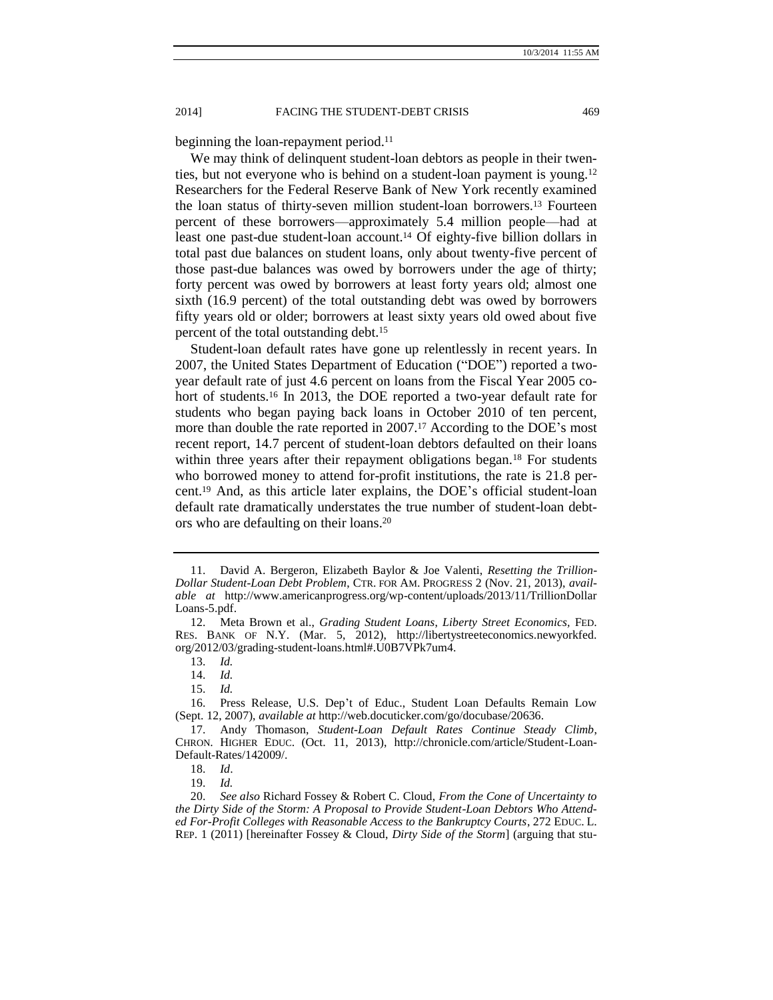beginning the loan-repayment period.<sup>11</sup>

We may think of delinquent student-loan debtors as people in their twenties, but not everyone who is behind on a student-loan payment is young.<sup>12</sup> Researchers for the Federal Reserve Bank of New York recently examined the loan status of thirty-seven million student-loan borrowers.<sup>13</sup> Fourteen percent of these borrowers—approximately 5.4 million people—had at least one past-due student-loan account.<sup>14</sup> Of eighty-five billion dollars in total past due balances on student loans, only about twenty-five percent of those past-due balances was owed by borrowers under the age of thirty; forty percent was owed by borrowers at least forty years old; almost one sixth (16.9 percent) of the total outstanding debt was owed by borrowers fifty years old or older; borrowers at least sixty years old owed about five percent of the total outstanding debt.<sup>15</sup>

<span id="page-2-2"></span><span id="page-2-1"></span>Student-loan default rates have gone up relentlessly in recent years. In 2007, the United States Department of Education ("DOE") reported a twoyear default rate of just 4.6 percent on loans from the Fiscal Year 2005 cohort of students.<sup>16</sup> In 2013, the DOE reported a two-year default rate for students who began paying back loans in October 2010 of ten percent, more than double the rate reported in 2007.<sup>17</sup> According to the DOE's most recent report, 14.7 percent of student-loan debtors defaulted on their loans within three years after their repayment obligations began.<sup>18</sup> For students who borrowed money to attend for-profit institutions, the rate is 21.8 percent. <sup>19</sup> And, as this article later explains, the DOE's official student-loan default rate dramatically understates the true number of student-loan debtors who are defaulting on their loans.<sup>20</sup>

<span id="page-2-0"></span><sup>11.</sup> David A. Bergeron, Elizabeth Baylor & Joe Valenti, *Resetting the Trillion-Dollar Student-Loan Debt Problem*, CTR. FOR AM. PROGRESS 2 (Nov. 21, 2013), *available at* http://www.americanprogress.org/wp-content/uploads/2013/11/TrillionDollar Loans-5.pdf.

<sup>12.</sup> Meta Brown et al., *Grading Student Loans*, *Liberty Street Economics,* FED. RES. BANK OF N.Y. (Mar. 5, 2012), http://libertystreeteconomics.newyorkfed. org/2012/03/grading-student-loans.html#.U0B7VPk7um4.

<sup>13.</sup> *Id.*

<sup>14.</sup> *Id.*

<sup>15.</sup> *Id.*

<sup>16.</sup> Press Release, U.S. Dep't of Educ., Student Loan Defaults Remain Low (Sept. 12, 2007), *available at* http://web.docuticker.com/go/docubase/20636.

<sup>17.</sup> Andy Thomason, *Student-Loan Default Rates Continue Steady Climb*, CHRON. HIGHER EDUC. (Oct. 11, 2013), http://chronicle.com/article/Student-Loan-Default-Rates/142009/.

<sup>18.</sup> *Id*.

<sup>19.</sup> *Id.*

<sup>20.</sup> *See also* Richard Fossey & Robert C. Cloud, *From the Cone of Uncertainty to the Dirty Side of the Storm: A Proposal to Provide Student-Loan Debtors Who Attended For-Profit Colleges with Reasonable Access to the Bankruptcy Courts*, 272 EDUC. L. REP. 1 (2011) [hereinafter Fossey & Cloud, *Dirty Side of the Storm*] (arguing that stu-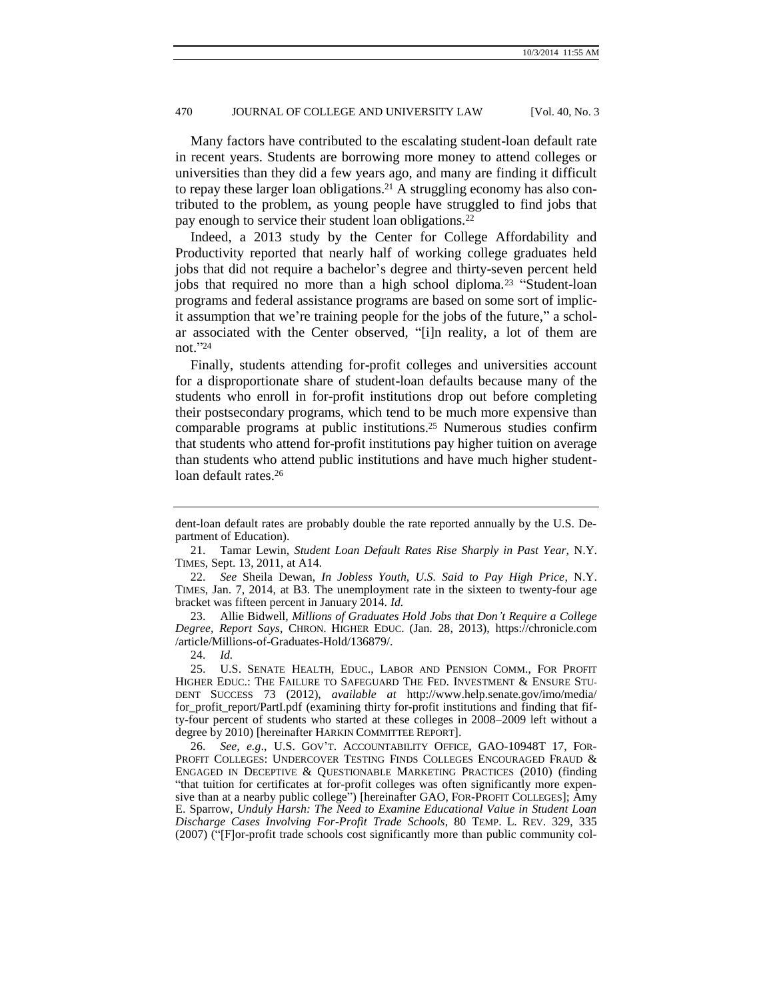Many factors have contributed to the escalating student-loan default rate in recent years. Students are borrowing more money to attend colleges or universities than they did a few years ago, and many are finding it difficult to repay these larger loan obligations.<sup>21</sup> A struggling economy has also contributed to the problem, as young people have struggled to find jobs that pay enough to service their student loan obligations.<sup>22</sup>

Indeed, a 2013 study by the Center for College Affordability and Productivity reported that nearly half of working college graduates held jobs that did not require a bachelor's degree and thirty-seven percent held jobs that required no more than a high school diploma.<sup>23</sup> "Student-loan programs and federal assistance programs are based on some sort of implicit assumption that we're training people for the jobs of the future," a scholar associated with the Center observed, "[i]n reality, a lot of them are not." 24

<span id="page-3-0"></span>Finally, students attending for-profit colleges and universities account for a disproportionate share of student-loan defaults because many of the students who enroll in for-profit institutions drop out before completing their postsecondary programs, which tend to be much more expensive than comparable programs at public institutions.<sup>25</sup> Numerous studies confirm that students who attend for-profit institutions pay higher tuition on average than students who attend public institutions and have much higher studentloan default rates.<sup>26</sup>

23. Allie Bidwell, *Millions of Graduates Hold Jobs that Don't Require a College Degree, Report Says*, CHRON. HIGHER EDUC. (Jan. 28, 2013), https://chronicle.com /article/Millions-of-Graduates-Hold/136879/.

24. *Id.*

25. U.S. SENATE HEALTH, EDUC., LABOR AND PENSION COMM., FOR PROFIT HIGHER EDUC.: THE FAILURE TO SAFEGUARD THE FED. INVESTMENT & ENSURE STU-DENT SUCCESS 73 (2012), *available at* http://www.help.senate.gov/imo/media/ for\_profit\_report/PartI.pdf (examining thirty for-profit institutions and finding that fifty-four percent of students who started at these colleges in 2008–2009 left without a degree by 2010) [hereinafter HARKIN COMMITTEE REPORT].

26. *See, e.g*., U.S. GOV'T. ACCOUNTABILITY OFFICE, GAO-10948T 17, FOR-PROFIT COLLEGES: UNDERCOVER TESTING FINDS COLLEGES ENCOURAGED FRAUD & ENGAGED IN DECEPTIVE & QUESTIONABLE MARKETING PRACTICES (2010) (finding "that tuition for certificates at for-profit colleges was often significantly more expensive than at a nearby public college") [hereinafter GAO, FOR-PROFIT COLLEGES]; Amy E. Sparrow, *Unduly Harsh: The Need to Examine Educational Value in Student Loan Discharge Cases Involving For-Profit Trade Schools*, 80 TEMP. L. REV. 329, 335 (2007) ("[F]or-profit trade schools cost significantly more than public community col-

<span id="page-3-1"></span>dent-loan default rates are probably double the rate reported annually by the U.S. Department of Education).

<sup>21.</sup> Tamar Lewin, *Student Loan Default Rates Rise Sharply in Past Year,* N.Y. TIMES, Sept. 13, 2011, at A14.

<sup>22.</sup> *See* Sheila Dewan, *In Jobless Youth, U.S. Said to Pay High Price*, N.Y. TIMES, Jan. 7, 2014, at B3. The unemployment rate in the sixteen to twenty-four age bracket was fifteen percent in January 2014. *Id.*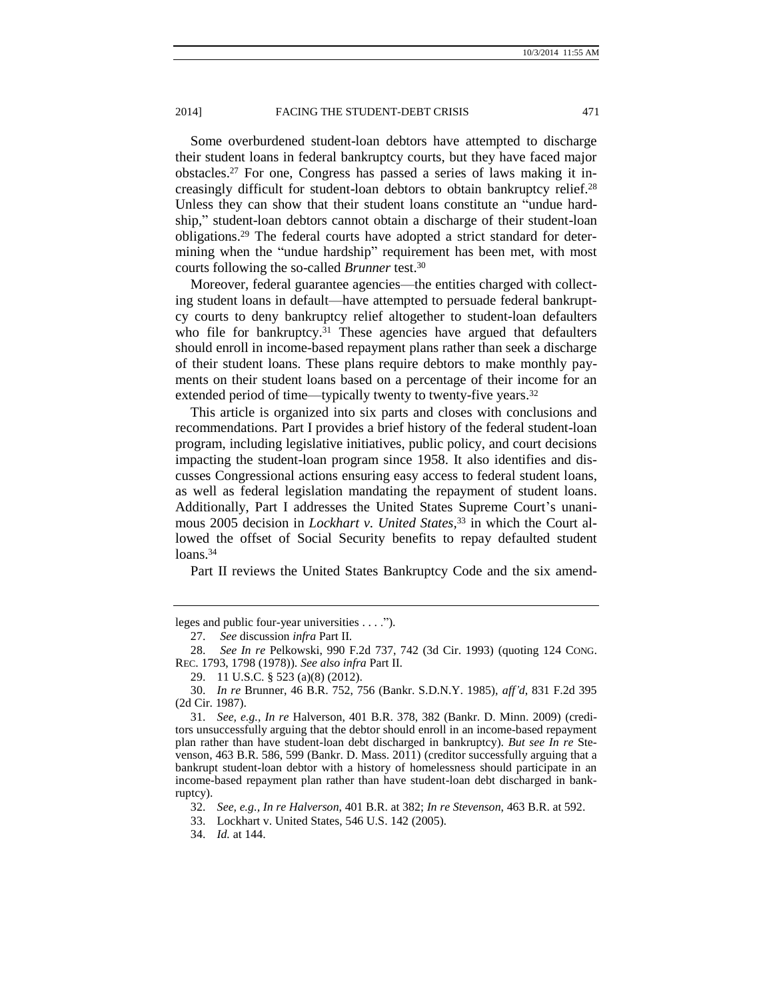Some overburdened student-loan debtors have attempted to discharge their student loans in federal bankruptcy courts, but they have faced major obstacles.<sup>27</sup> For one, Congress has passed a series of laws making it increasingly difficult for student-loan debtors to obtain bankruptcy relief.<sup>28</sup> Unless they can show that their student loans constitute an "undue hardship," student-loan debtors cannot obtain a discharge of their student-loan obligations.<sup>29</sup> The federal courts have adopted a strict standard for determining when the "undue hardship" requirement has been met, with most courts following the so-called *Brunner* test.<sup>30</sup>

Moreover, federal guarantee agencies—the entities charged with collecting student loans in default—have attempted to persuade federal bankruptcy courts to deny bankruptcy relief altogether to student-loan defaulters who file for bankruptcy.<sup>31</sup> These agencies have argued that defaulters should enroll in income-based repayment plans rather than seek a discharge of their student loans. These plans require debtors to make monthly payments on their student loans based on a percentage of their income for an extended period of time—typically twenty to twenty-five years.<sup>32</sup>

This article is organized into six parts and closes with conclusions and recommendations. Part I provides a brief history of the federal student-loan program, including legislative initiatives, public policy, and court decisions impacting the student-loan program since 1958. It also identifies and discusses Congressional actions ensuring easy access to federal student loans, as well as federal legislation mandating the repayment of student loans. Additionally, Part I addresses the United States Supreme Court's unanimous 2005 decision in *Lockhart v. United States,*<sup>33</sup> in which the Court allowed the offset of Social Security benefits to repay defaulted student loans.<sup>34</sup>

Part II reviews the United States Bankruptcy Code and the six amend-

leges and public four-year universities . . . .").

<sup>27.</sup> *See* discussion *infra* Part II.

<sup>28.</sup> *See In re* Pelkowski, 990 F.2d 737, 742 (3d Cir. 1993) (quoting 124 CONG. REC. 1793, 1798 (1978)). *See also infra* Part II.

<sup>29.</sup> 11 U.S.C. § 523 (a)(8) (2012).

<sup>30.</sup> *In re* Brunner, 46 B.R. 752, 756 (Bankr. S.D.N.Y. 1985), *aff'd*, 831 F.2d 395 (2d Cir. 1987).

<sup>31.</sup> *See, e.g., In re* Halverson, 401 B.R. 378, 382 (Bankr. D. Minn. 2009) (creditors unsuccessfully arguing that the debtor should enroll in an income-based repayment plan rather than have student-loan debt discharged in bankruptcy). *But see In re* Stevenson, 463 B.R. 586, 599 (Bankr. D. Mass. 2011) (creditor successfully arguing that a bankrupt student-loan debtor with a history of homelessness should participate in an income-based repayment plan rather than have student-loan debt discharged in bankruptcy).

<sup>32.</sup> *See, e.g., In re Halverson*, 401 B.R. at 382; *In re Stevenson*, 463 B.R. at 592.

<sup>33.</sup> Lockhart v. United States, 546 U.S. 142 (2005).

<sup>34.</sup> *Id.* at 144.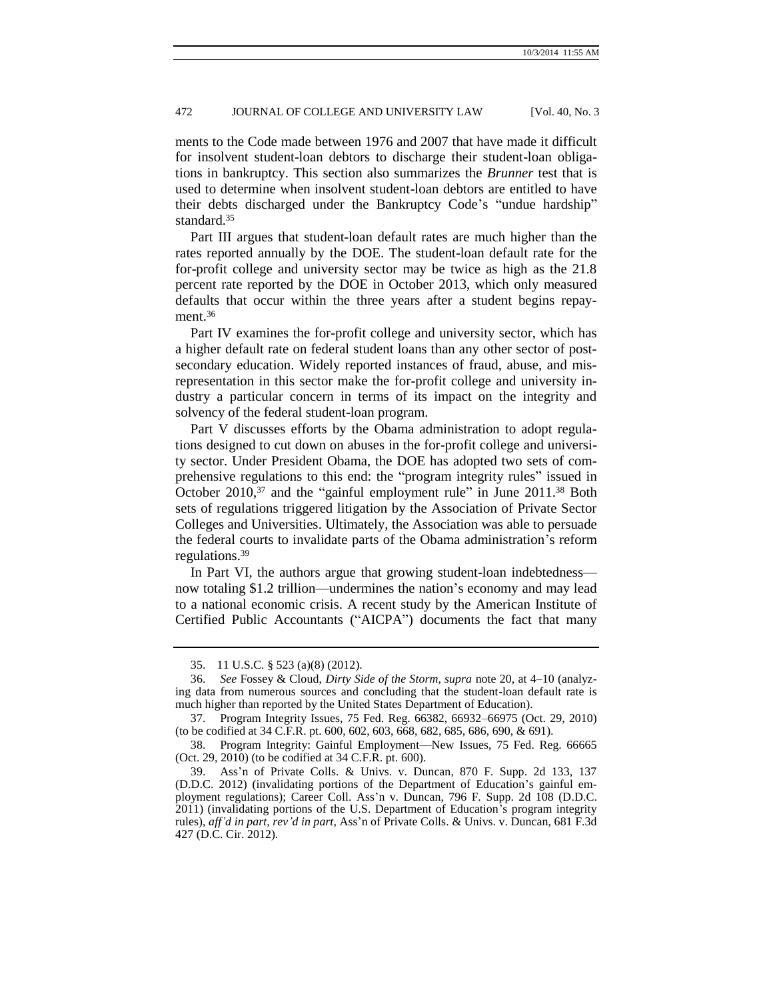ments to the Code made between 1976 and 2007 that have made it difficult for insolvent student-loan debtors to discharge their student-loan obligations in bankruptcy. This section also summarizes the *Brunner* test that is used to determine when insolvent student-loan debtors are entitled to have their debts discharged under the Bankruptcy Code's "undue hardship" standard.<sup>35</sup>

Part III argues that student-loan default rates are much higher than the rates reported annually by the DOE. The student-loan default rate for the for-profit college and university sector may be twice as high as the 21.8 percent rate reported by the DOE in October 2013, which only measured defaults that occur within the three years after a student begins repayment.<sup>36</sup>

Part IV examines the for-profit college and university sector, which has a higher default rate on federal student loans than any other sector of postsecondary education. Widely reported instances of fraud, abuse, and misrepresentation in this sector make the for-profit college and university industry a particular concern in terms of its impact on the integrity and solvency of the federal student-loan program.

Part V discusses efforts by the Obama administration to adopt regulations designed to cut down on abuses in the for-profit college and university sector. Under President Obama, the DOE has adopted two sets of comprehensive regulations to this end: the "program integrity rules" issued in October 2010,<sup>37</sup> and the "gainful employment rule" in June 2011.<sup>38</sup> Both sets of regulations triggered litigation by the Association of Private Sector Colleges and Universities. Ultimately, the Association was able to persuade the federal courts to invalidate parts of the Obama administration's reform regulations.<sup>39</sup>

In Part VI, the authors argue that growing student-loan indebtedness now totaling \$1.2 trillion—undermines the nation's economy and may lead to a national economic crisis. A recent study by the American Institute of Certified Public Accountants ("AICPA") documents the fact that many

<sup>35.</sup> 11 U.S.C. § 523 (a)(8) (2012).

<sup>36.</sup> *See* Fossey & Cloud, *Dirty Side of the Storm, supra* note [20,](#page-2-0) at 4–10 (analyzing data from numerous sources and concluding that the student-loan default rate is much higher than reported by the United States Department of Education).

<sup>37.</sup> Program Integrity Issues, 75 Fed. Reg. 66382, 66932–66975 (Oct. 29, 2010) (to be codified at 34 C.F.R. pt. 600, 602, 603, 668, 682, 685, 686, 690, & 691).

<sup>38.</sup> Program Integrity: Gainful Employment—New Issues, 75 Fed. Reg. 66665 (Oct. 29, 2010) (to be codified at 34 C.F.R. pt. 600).

<sup>39.</sup> Ass'n of Private Colls. & Univs. v. Duncan, 870 F. Supp. 2d 133, 137 (D.D.C. 2012) (invalidating portions of the Department of Education's gainful employment regulations); Career Coll. Ass'n v. Duncan, 796 F. Supp. 2d 108 (D.D.C. 2011) (invalidating portions of the U.S. Department of Education's program integrity rules), *aff'd in part, rev'd in part*, Ass'n of Private Colls. & Univs. v. Duncan, 681 F.3d 427 (D.C. Cir. 2012).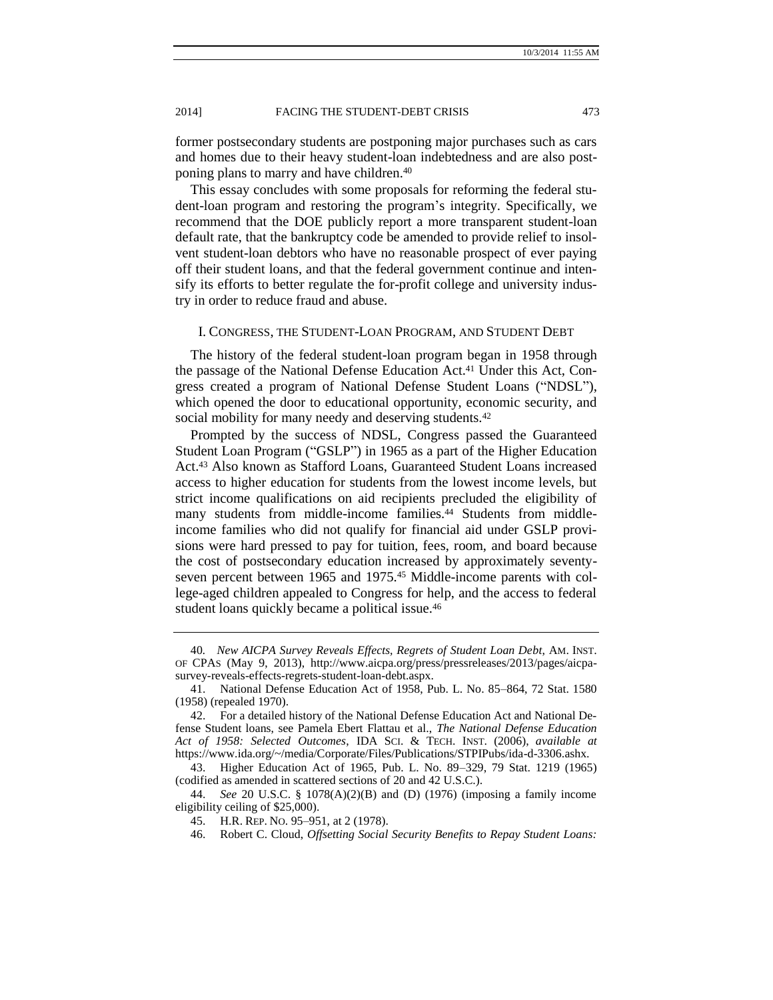former postsecondary students are postponing major purchases such as cars and homes due to their heavy student-loan indebtedness and are also postponing plans to marry and have children.<sup>40</sup>

This essay concludes with some proposals for reforming the federal student-loan program and restoring the program's integrity. Specifically, we recommend that the DOE publicly report a more transparent student-loan default rate, that the bankruptcy code be amended to provide relief to insolvent student-loan debtors who have no reasonable prospect of ever paying off their student loans, and that the federal government continue and intensify its efforts to better regulate the for-profit college and university industry in order to reduce fraud and abuse.

#### I. CONGRESS, THE STUDENT-LOAN PROGRAM, AND STUDENT DEBT

The history of the federal student-loan program began in 1958 through the passage of the National Defense Education Act. <sup>41</sup> Under this Act, Congress created a program of National Defense Student Loans ("NDSL"), which opened the door to educational opportunity, economic security, and social mobility for many needy and deserving students.<sup>42</sup>

Prompted by the success of NDSL, Congress passed the Guaranteed Student Loan Program ("GSLP") in 1965 as a part of the Higher Education Act.<sup>43</sup> Also known as Stafford Loans, Guaranteed Student Loans increased access to higher education for students from the lowest income levels, but strict income qualifications on aid recipients precluded the eligibility of many students from middle-income families.<sup>44</sup> Students from middleincome families who did not qualify for financial aid under GSLP provisions were hard pressed to pay for tuition, fees, room, and board because the cost of postsecondary education increased by approximately seventyseven percent between 1965 and 1975.<sup>45</sup> Middle-income parents with college-aged children appealed to Congress for help, and the access to federal student loans quickly became a political issue.<sup>46</sup>

<span id="page-6-0"></span><sup>40</sup>*. New AICPA Survey Reveals Effects, Regrets of Student Loan Debt*, AM. INST. OF CPAS (May 9, 2013), http://www.aicpa.org/press/pressreleases/2013/pages/aicpasurvey-reveals-effects-regrets-student-loan-debt.aspx.

<sup>41.</sup> National Defense Education Act of 1958, Pub. L. No. 85–864, 72 Stat. 1580 (1958) (repealed 1970).

<sup>42.</sup> For a detailed history of the National Defense Education Act and National Defense Student loans, see Pamela Ebert Flattau et al., *The National Defense Education Act of 1958: Selected Outcomes*, IDA SCI. & TECH. INST. (2006), *available at*  https://www.ida.org/~/media/Corporate/Files/Publications/STPIPubs/ida-d-3306.ashx.

<sup>43.</sup> Higher Education Act of 1965, Pub. L. No. 89–329, 79 Stat. 1219 (1965) (codified as amended in scattered sections of 20 and 42 U.S.C.).

<sup>44.</sup> *See* 20 U.S.C. § 1078(A)(2)(B) and (D) (1976) (imposing a family income eligibility ceiling of \$25,000).

<sup>45.</sup> H.R. REP. NO. 95–951, at 2 (1978).

<sup>46.</sup> Robert C. Cloud, *Offsetting Social Security Benefits to Repay Student Loans:*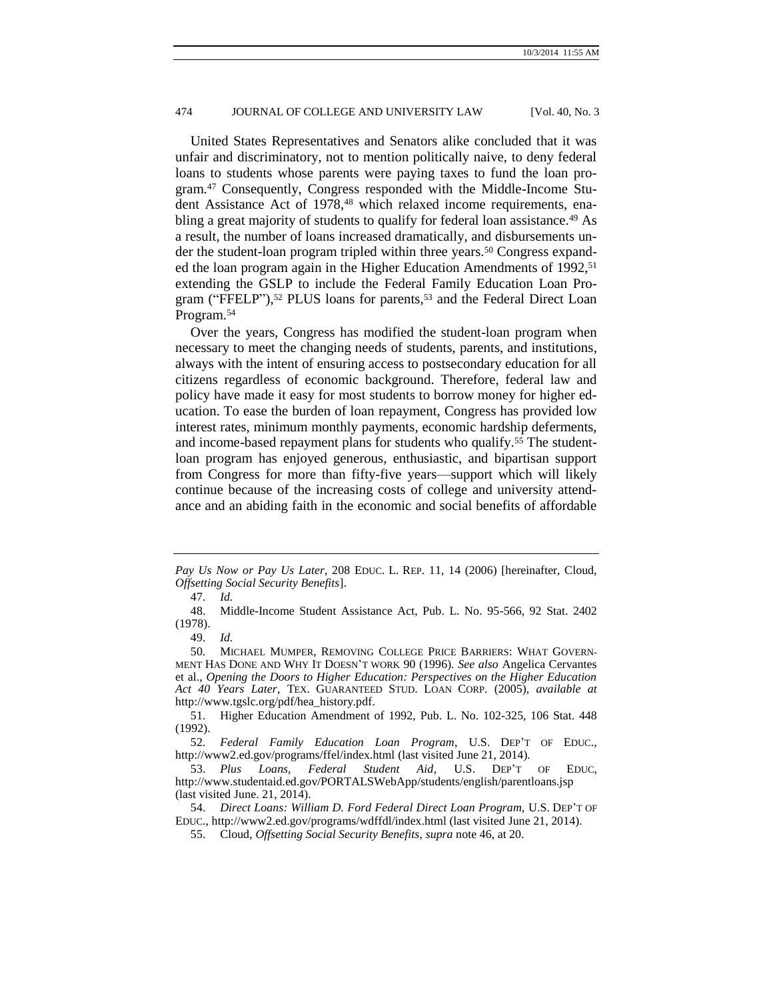United States Representatives and Senators alike concluded that it was unfair and discriminatory, not to mention politically naive, to deny federal loans to students whose parents were paying taxes to fund the loan program.<sup>47</sup> Consequently, Congress responded with the Middle-Income Student Assistance Act of 1978,<sup>48</sup> which relaxed income requirements, enabling a great majority of students to qualify for federal loan assistance.<sup>49</sup> As a result, the number of loans increased dramatically, and disbursements under the student-loan program tripled within three years.<sup>50</sup> Congress expanded the loan program again in the Higher Education Amendments of 1992,<sup>51</sup> extending the GSLP to include the Federal Family Education Loan Program ("FFELP"),<sup>52</sup> PLUS loans for parents,<sup>53</sup> and the Federal Direct Loan Program.<sup>54</sup>

Over the years, Congress has modified the student-loan program when necessary to meet the changing needs of students, parents, and institutions, always with the intent of ensuring access to postsecondary education for all citizens regardless of economic background. Therefore, federal law and policy have made it easy for most students to borrow money for higher education. To ease the burden of loan repayment, Congress has provided low interest rates, minimum monthly payments, economic hardship deferments, and income-based repayment plans for students who qualify.<sup>55</sup> The studentloan program has enjoyed generous, enthusiastic, and bipartisan support from Congress for more than fifty-five years—support which will likely continue because of the increasing costs of college and university attendance and an abiding faith in the economic and social benefits of affordable

49. *Id.*

*Pay Us Now or Pay Us Later*, 208 EDUC. L. REP. 11, 14 (2006) [hereinafter, Cloud, *Offsetting Social Security Benefits*].

<sup>47.</sup> *Id.*

<sup>48.</sup> Middle-Income Student Assistance Act, Pub. L. No. 95-566, 92 Stat. 2402 (1978).

<sup>50.</sup> MICHAEL MUMPER, REMOVING COLLEGE PRICE BARRIERS: WHAT GOVERN-MENT HAS DONE AND WHY IT DOESN'T WORK 90 (1996). *See also* Angelica Cervantes et al., *Opening the Doors to Higher Education: Perspectives on the Higher Education Act 40 Years Later*, TEX. GUARANTEED STUD. LOAN CORP. (2005), *available at*  http://www.tgslc.org/pdf/hea\_history.pdf.

<sup>51.</sup> Higher Education Amendment of 1992, Pub. L. No. 102-325, 106 Stat. 448 (1992).

<sup>52.</sup> *Federal Family Education Loan Program*, U.S. DEP'T OF EDUC., http://www2.ed.gov/programs/ffel/index.html (last visited June 21, 2014).

<sup>53.</sup> *Plus Loans, Federal Student Aid*, U.S. DEP'T OF EDUC, http://www.studentaid.ed.gov/PORTALSWebApp/students/english/parentloans.jsp (last visited June. 21, 2014).

<sup>54.</sup> *Direct Loans: William D. Ford Federal Direct Loan Program,* U.S. DEP'T OF EDUC., http://www2.ed.gov/programs/wdffdl/index.html (last visited June 21, 2014).

<sup>55.</sup> Cloud, *Offsetting Social Security Benefits*, *supra* note [46,](#page-6-0) at 20.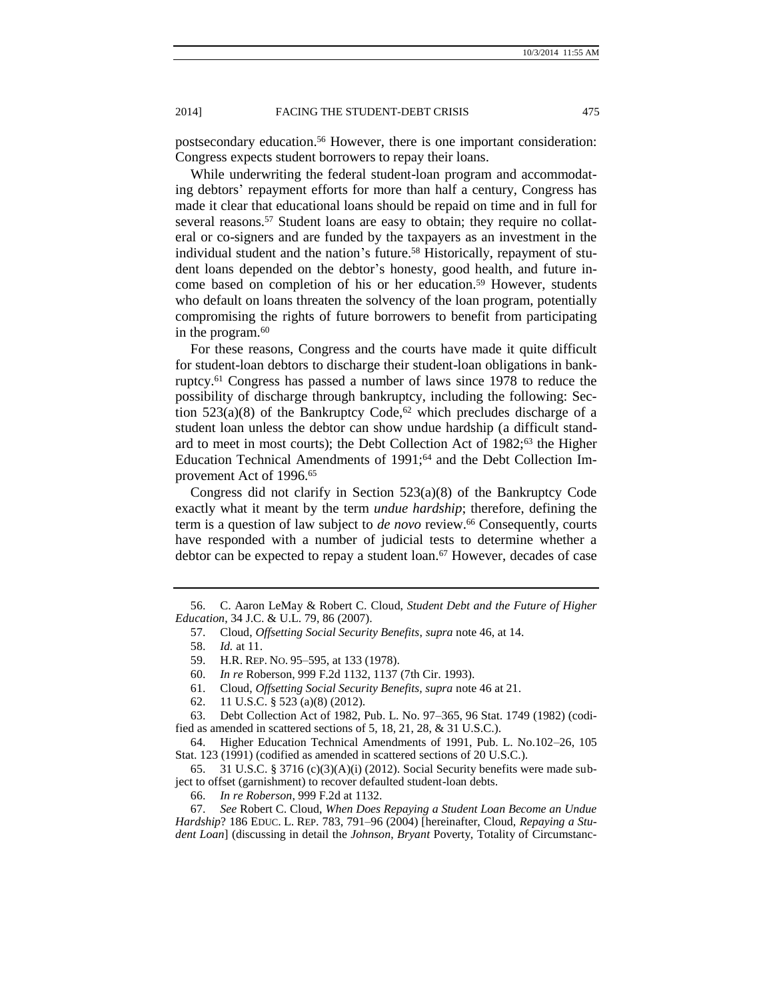postsecondary education.<sup>56</sup> However, there is one important consideration: Congress expects student borrowers to repay their loans.

While underwriting the federal student-loan program and accommodating debtors' repayment efforts for more than half a century, Congress has made it clear that educational loans should be repaid on time and in full for several reasons.<sup>57</sup> Student loans are easy to obtain; they require no collateral or co-signers and are funded by the taxpayers as an investment in the individual student and the nation's future.<sup>58</sup> Historically, repayment of student loans depended on the debtor's honesty, good health, and future income based on completion of his or her education.<sup>59</sup> However, students who default on loans threaten the solvency of the loan program, potentially compromising the rights of future borrowers to benefit from participating in the program.<sup>60</sup>

For these reasons, Congress and the courts have made it quite difficult for student-loan debtors to discharge their student-loan obligations in bankruptcy.<sup>61</sup> Congress has passed a number of laws since 1978 to reduce the possibility of discharge through bankruptcy, including the following: Section 523(a)(8) of the Bankruptcy Code,<sup>62</sup> which precludes discharge of a student loan unless the debtor can show undue hardship (a difficult standard to meet in most courts); the Debt Collection Act of 1982;<sup>63</sup> the Higher Education Technical Amendments of 1991;<sup>64</sup> and the Debt Collection Improvement Act of 1996.<sup>65</sup>

Congress did not clarify in Section 523(a)(8) of the Bankruptcy Code exactly what it meant by the term *undue hardship*; therefore, defining the term is a question of law subject to *de novo* review.<sup>66</sup> Consequently, courts have responded with a number of judicial tests to determine whether a debtor can be expected to repay a student loan.<sup>67</sup> However, decades of case

61. Cloud, *Offsetting Social Security Benefits, supra* note [46](#page-6-0) at 21.

<sup>56.</sup> C. Aaron LeMay & Robert C. Cloud, *Student Debt and the Future of Higher Education*, 34 J.C. & U.L. 79, 86 (2007).

<span id="page-8-0"></span><sup>57.</sup> Cloud, *Offsetting Social Security Benefits*, *supra* note [46,](#page-6-0) at 14.

<sup>58.</sup> *Id.* at 11.

<sup>59.</sup> H.R. REP. NO. 95–595, at 133 (1978).

<sup>60.</sup> *In re* Roberson, 999 F.2d 1132, 1137 (7th Cir. 1993).

<sup>62.</sup> 11 U.S.C. § 523 (a)(8) (2012).

<sup>63.</sup> Debt Collection Act of 1982, Pub. L. No. 97–365, 96 Stat. 1749 (1982) (codified as amended in scattered sections of 5, 18, 21, 28, & 31 U.S.C.).

<sup>64.</sup> Higher Education Technical Amendments of 1991, Pub. L. No.102–26, 105 Stat. 123 (1991) (codified as amended in scattered sections of 20 U.S.C.).

<sup>65. 31</sup> U.S.C. § 3716 (c)(3)(A)(i) (2012). Social Security benefits were made subject to offset (garnishment) to recover defaulted student-loan debts.

<sup>66.</sup> *In re Roberson*, 999 F.2d at 1132.

<sup>67.</sup> *See* Robert C. Cloud, *When Does Repaying a Student Loan Become an Undue Hardship*? 186 EDUC. L. REP. 783, 791–96 (2004) [hereinafter, Cloud, *Repaying a Student Loan*] (discussing in detail the *Johnson*, *Bryant* Poverty, Totality of Circumstanc-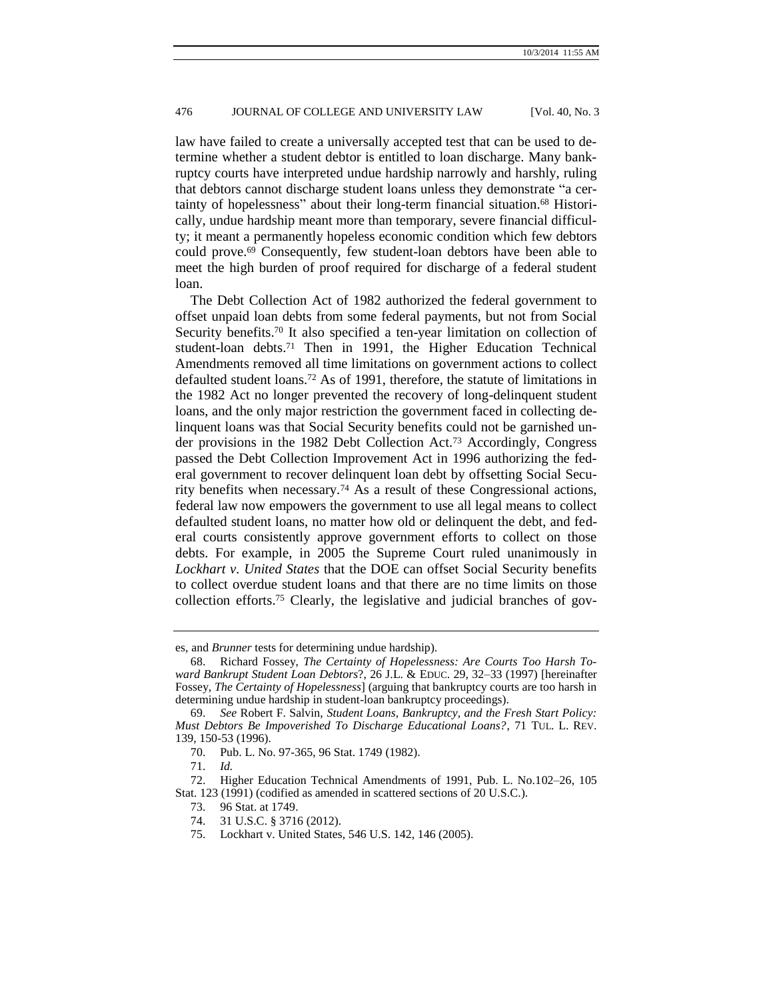<span id="page-9-1"></span>law have failed to create a universally accepted test that can be used to determine whether a student debtor is entitled to loan discharge. Many bankruptcy courts have interpreted undue hardship narrowly and harshly, ruling that debtors cannot discharge student loans unless they demonstrate "a certainty of hopelessness" about their long-term financial situation.<sup>68</sup> Historically, undue hardship meant more than temporary, severe financial difficulty; it meant a permanently hopeless economic condition which few debtors could prove.<sup>69</sup> Consequently, few student-loan debtors have been able to meet the high burden of proof required for discharge of a federal student loan.

<span id="page-9-0"></span>The Debt Collection Act of 1982 authorized the federal government to offset unpaid loan debts from some federal payments, but not from Social Security benefits.<sup>70</sup> It also specified a ten-year limitation on collection of student-loan debts.<sup>71</sup> Then in 1991, the Higher Education Technical Amendments removed all time limitations on government actions to collect defaulted student loans.<sup>72</sup> As of 1991, therefore, the statute of limitations in the 1982 Act no longer prevented the recovery of long-delinquent student loans, and the only major restriction the government faced in collecting delinquent loans was that Social Security benefits could not be garnished under provisions in the 1982 Debt Collection Act.<sup>73</sup> Accordingly, Congress passed the Debt Collection Improvement Act in 1996 authorizing the federal government to recover delinquent loan debt by offsetting Social Security benefits when necessary.<sup>74</sup> As a result of these Congressional actions, federal law now empowers the government to use all legal means to collect defaulted student loans, no matter how old or delinquent the debt, and federal courts consistently approve government efforts to collect on those debts. For example, in 2005 the Supreme Court ruled unanimously in *Lockhart v. United States* that the DOE can offset Social Security benefits to collect overdue student loans and that there are no time limits on those collection efforts.<sup>75</sup> Clearly, the legislative and judicial branches of gov-

es, and *Brunner* tests for determining undue hardship).

<sup>68.</sup> Richard Fossey, *The Certainty of Hopelessness: Are Courts Too Harsh Toward Bankrupt Student Loan Debtors*?, 26 J.L. & EDUC. 29, 32–33 (1997) [hereinafter Fossey, *The Certainty of Hopelessness*] (arguing that bankruptcy courts are too harsh in determining undue hardship in student-loan bankruptcy proceedings).

<sup>69.</sup> *See* Robert F. Salvin, *Student Loans, Bankruptcy, and the Fresh Start Policy: Must Debtors Be Impoverished To Discharge Educational Loans?*, 71 TUL. L. REV. 139, 150-53 (1996).

<sup>70.</sup> Pub. L. No. 97-365, 96 Stat. 1749 (1982).

<sup>71.</sup> *Id.*

<sup>72.</sup> Higher Education Technical Amendments of 1991, Pub. L. No.102–26, 105 Stat. 123 (1991) (codified as amended in scattered sections of 20 U.S.C.).

<sup>73.</sup> 96 Stat. at 1749.

<sup>74.</sup> 31 U.S.C. § 3716 (2012).

<sup>75.</sup> Lockhart v. United States, 546 U.S. 142, 146 (2005).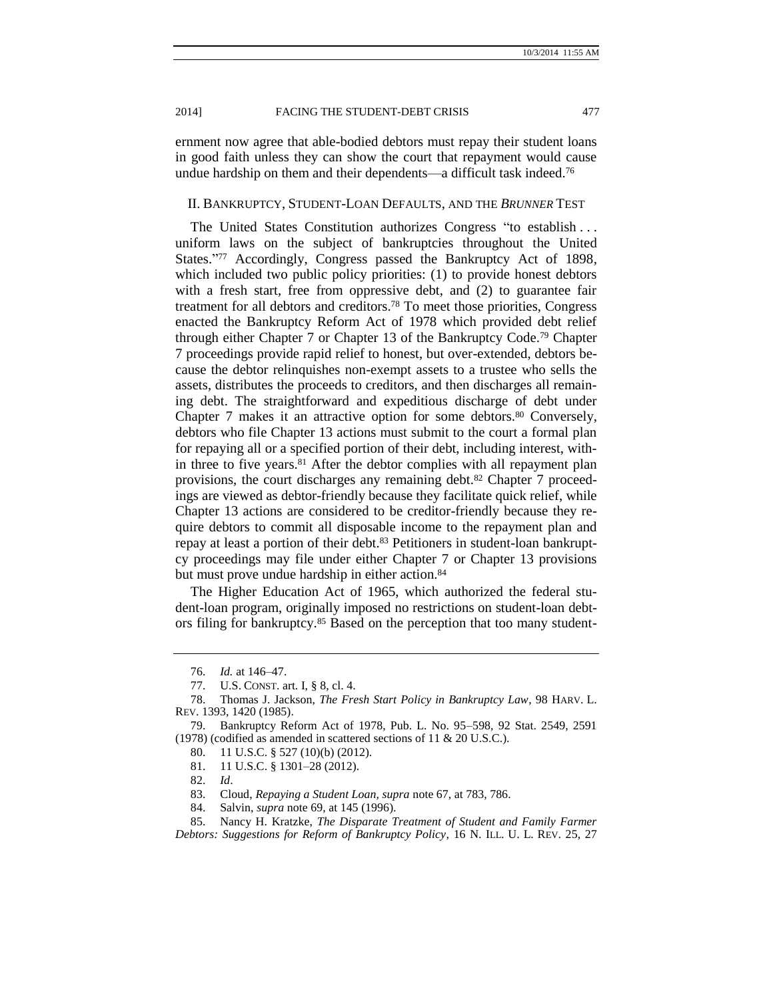ernment now agree that able-bodied debtors must repay their student loans in good faith unless they can show the court that repayment would cause undue hardship on them and their dependents—a difficult task indeed.<sup>76</sup>

### II. BANKRUPTCY, STUDENT-LOAN DEFAULTS, AND THE *BRUNNER* TEST

The United States Constitution authorizes Congress "to establish . . . uniform laws on the subject of bankruptcies throughout the United States."<sup>77</sup> Accordingly, Congress passed the Bankruptcy Act of 1898, which included two public policy priorities: (1) to provide honest debtors with a fresh start, free from oppressive debt, and (2) to guarantee fair treatment for all debtors and creditors.<sup>78</sup> To meet those priorities, Congress enacted the Bankruptcy Reform Act of 1978 which provided debt relief through either Chapter 7 or Chapter 13 of the Bankruptcy Code.<sup>79</sup> Chapter 7 proceedings provide rapid relief to honest, but over-extended, debtors because the debtor relinquishes non-exempt assets to a trustee who sells the assets, distributes the proceeds to creditors, and then discharges all remaining debt. The straightforward and expeditious discharge of debt under Chapter 7 makes it an attractive option for some debtors.<sup>80</sup> Conversely, debtors who file Chapter 13 actions must submit to the court a formal plan for repaying all or a specified portion of their debt, including interest, within three to five years.<sup>81</sup> After the debtor complies with all repayment plan provisions, the court discharges any remaining debt.<sup>82</sup> Chapter 7 proceedings are viewed as debtor-friendly because they facilitate quick relief, while Chapter 13 actions are considered to be creditor-friendly because they require debtors to commit all disposable income to the repayment plan and repay at least a portion of their debt.<sup>83</sup> Petitioners in student-loan bankruptcy proceedings may file under either Chapter 7 or Chapter 13 provisions but must prove undue hardship in either action.<sup>84</sup>

The Higher Education Act of 1965, which authorized the federal student-loan program, originally imposed no restrictions on student-loan debtors filing for bankruptcy.<sup>85</sup> Based on the perception that too many student-

<sup>76.</sup> *Id.* at 146–47.

<sup>77.</sup> U.S. CONST. art. I, § 8, cl. 4.

<sup>78.</sup> Thomas J. Jackson, *The Fresh Start Policy in Bankruptcy Law*, 98 HARV. L. REV. 1393, 1420 (1985).

<sup>79.</sup> Bankruptcy Reform Act of 1978, Pub. L. No. 95–598, 92 Stat. 2549, 2591 (1978) (codified as amended in scattered sections of 11 & 20 U.S.C.).

<sup>80.</sup> 11 U.S.C. § 527 (10)(b) (2012).

<sup>81.</sup> 11 U.S.C. § 1301–28 (2012).

<sup>82.</sup> *Id*.

<sup>83.</sup> Cloud, *Repaying a Student Loan, supra* not[e 67,](#page-8-0) at 783, 786.

<sup>84.</sup> Salvin, *supra* note [69,](#page-9-0) at 145 (1996).

<sup>85.</sup> Nancy H. Kratzke, *The Disparate Treatment of Student and Family Farmer Debtors: Suggestions for Reform of Bankruptcy Policy*, 16 N. ILL. U. L. REV. 25, 27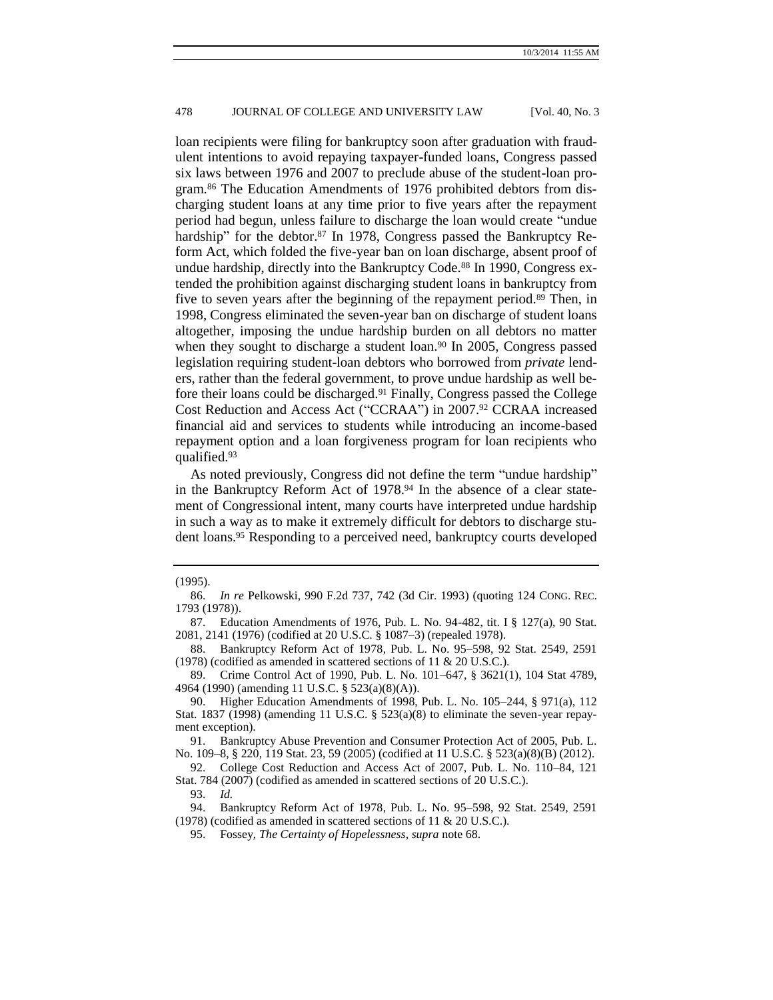loan recipients were filing for bankruptcy soon after graduation with fraudulent intentions to avoid repaying taxpayer-funded loans, Congress passed six laws between 1976 and 2007 to preclude abuse of the student-loan program.<sup>86</sup> The Education Amendments of 1976 prohibited debtors from discharging student loans at any time prior to five years after the repayment period had begun, unless failure to discharge the loan would create "undue hardship" for the debtor.<sup>87</sup> In 1978, Congress passed the Bankruptcy Reform Act, which folded the five-year ban on loan discharge, absent proof of undue hardship, directly into the Bankruptcy Code.<sup>88</sup> In 1990, Congress extended the prohibition against discharging student loans in bankruptcy from five to seven years after the beginning of the repayment period.<sup>89</sup> Then, in 1998, Congress eliminated the seven-year ban on discharge of student loans altogether, imposing the undue hardship burden on all debtors no matter when they sought to discharge a student loan.<sup>90</sup> In 2005, Congress passed legislation requiring student-loan debtors who borrowed from *private* lenders, rather than the federal government, to prove undue hardship as well before their loans could be discharged.<sup>91</sup> Finally, Congress passed the College Cost Reduction and Access Act ("CCRAA") in 2007.<sup>92</sup> CCRAA increased financial aid and services to students while introducing an income-based repayment option and a loan forgiveness program for loan recipients who qualified.<sup>93</sup>

As noted previously, Congress did not define the term "undue hardship" in the Bankruptcy Reform Act of 1978.<sup>94</sup> In the absence of a clear statement of Congressional intent, many courts have interpreted undue hardship in such a way as to make it extremely difficult for debtors to discharge student loans.<sup>95</sup> Responding to a perceived need, bankruptcy courts developed

91. Bankruptcy Abuse Prevention and Consumer Protection Act of 2005, Pub. L. No. 109–8, § 220, 119 Stat. 23, 59 (2005) (codified at 11 U.S.C. § 523(a)(8)(B) (2012).

92. College Cost Reduction and Access Act of 2007, Pub. L. No. 110–84, 121 Stat. 784 (2007) (codified as amended in scattered sections of 20 U.S.C.).

<sup>(1995).</sup>

<sup>86.</sup> *In re* Pelkowski, 990 F.2d 737, 742 (3d Cir. 1993) (quoting 124 CONG. REC. 1793 (1978)).

<sup>87.</sup> Education Amendments of 1976, Pub. L. No. 94-482, tit. I § 127(a), 90 Stat. 2081, 2141 (1976) (codified at 20 U.S.C. § 1087–3) (repealed 1978).

<sup>88.</sup> Bankruptcy Reform Act of 1978, Pub. L. No. 95–598, 92 Stat. 2549, 2591 (1978) (codified as amended in scattered sections of 11 & 20 U.S.C.).

<sup>89.</sup> Crime Control Act of 1990, Pub. L. No. 101–647, § 3621(1), 104 Stat 4789, 4964 (1990) (amending 11 U.S.C. § 523(a)(8)(A)).

<sup>90.</sup> Higher Education Amendments of 1998, Pub. L. No. 105–244, § 971(a), 112 Stat. 1837 (1998) (amending 11 U.S.C. § 523(a)(8) to eliminate the seven-year repayment exception).

<sup>93.</sup> *Id.*

<sup>94.</sup> Bankruptcy Reform Act of 1978, Pub. L. No. 95–598, 92 Stat. 2549, 2591 (1978) (codified as amended in scattered sections of 11 & 20 U.S.C.).

<sup>95.</sup> Fossey, *The Certainty of Hopelessness, supra* note [68.](#page-9-1)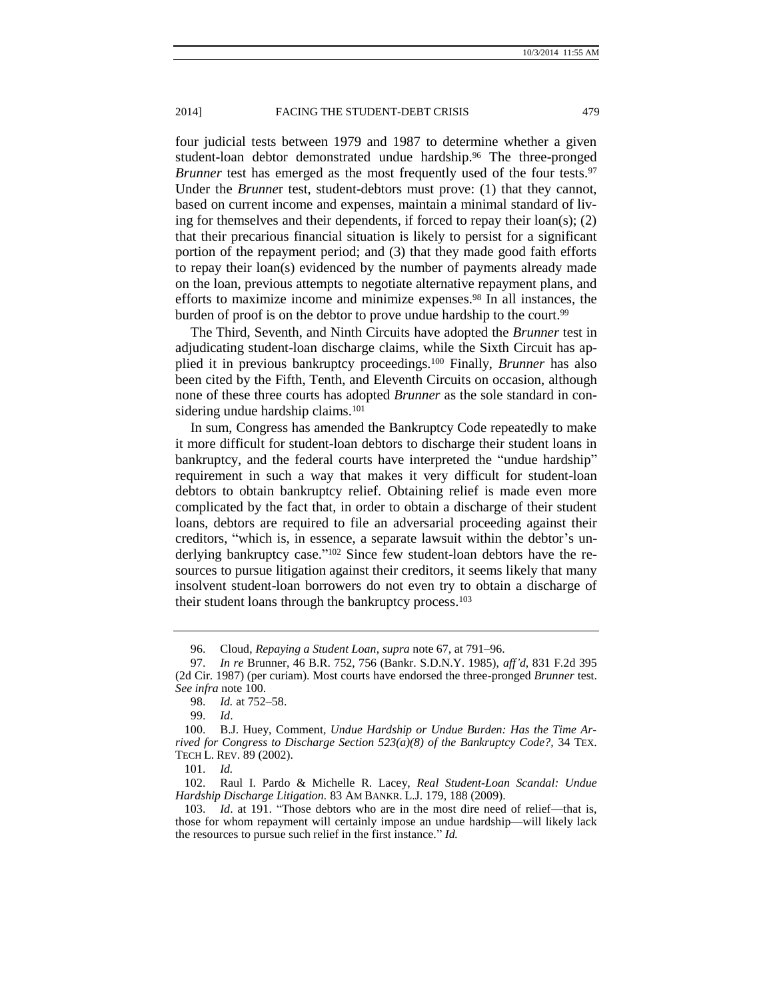four judicial tests between 1979 and 1987 to determine whether a given student-loan debtor demonstrated undue hardship.<sup>96</sup> The three-pronged *Brunner* test has emerged as the most frequently used of the four tests.<sup>97</sup> Under the *Brunne*r test, student-debtors must prove: (1) that they cannot, based on current income and expenses, maintain a minimal standard of living for themselves and their dependents, if forced to repay their loan(s); (2) that their precarious financial situation is likely to persist for a significant portion of the repayment period; and (3) that they made good faith efforts to repay their loan(s) evidenced by the number of payments already made on the loan, previous attempts to negotiate alternative repayment plans, and efforts to maximize income and minimize expenses.<sup>98</sup> In all instances, the burden of proof is on the debtor to prove undue hardship to the court.<sup>99</sup>

<span id="page-12-0"></span>The Third, Seventh, and Ninth Circuits have adopted the *Brunner* test in adjudicating student-loan discharge claims, while the Sixth Circuit has applied it in previous bankruptcy proceedings.<sup>100</sup> Finally, *Brunner* has also been cited by the Fifth, Tenth, and Eleventh Circuits on occasion, although none of these three courts has adopted *Brunner* as the sole standard in considering undue hardship claims.<sup>101</sup>

In sum, Congress has amended the Bankruptcy Code repeatedly to make it more difficult for student-loan debtors to discharge their student loans in bankruptcy, and the federal courts have interpreted the "undue hardship" requirement in such a way that makes it very difficult for student-loan debtors to obtain bankruptcy relief. Obtaining relief is made even more complicated by the fact that, in order to obtain a discharge of their student loans, debtors are required to file an adversarial proceeding against their creditors, "which is, in essence, a separate lawsuit within the debtor's underlying bankruptcy case." <sup>102</sup> Since few student-loan debtors have the resources to pursue litigation against their creditors, it seems likely that many insolvent student-loan borrowers do not even try to obtain a discharge of their student loans through the bankruptcy process.<sup>103</sup>

<span id="page-12-1"></span><sup>96.</sup> Cloud, *Repaying a Student Loan*, *supra* not[e 67,](#page-8-0) at 791–96.

<sup>97.</sup> *In re* Brunner, 46 B.R. 752, 756 (Bankr. S.D.N.Y. 1985), *aff'd*, 831 F.2d 395 (2d Cir. 1987) (per curiam). Most courts have endorsed the three-pronged *Brunner* test. *See infra* note [100.](#page-12-0)

<sup>98.</sup> *Id.* at 752–58.

<sup>99.</sup> *Id*.

<sup>100.</sup> B.J. Huey, Comment*, Undue Hardship or Undue Burden: Has the Time Arrived for Congress to Discharge Section 523(a)(8) of the Bankruptcy Code?,* 34 TEX. TECH L. REV. 89 (2002).

<sup>101.</sup> *Id.*

<sup>102.</sup> Raul I. Pardo & Michelle R. Lacey, *Real Student-Loan Scandal: Undue Hardship Discharge Litigation.* 83 AM BANKR. L.J. 179, 188 (2009).

<sup>103.</sup> *Id*. at 191. "Those debtors who are in the most dire need of relief—that is, those for whom repayment will certainly impose an undue hardship—will likely lack the resources to pursue such relief in the first instance." *Id.*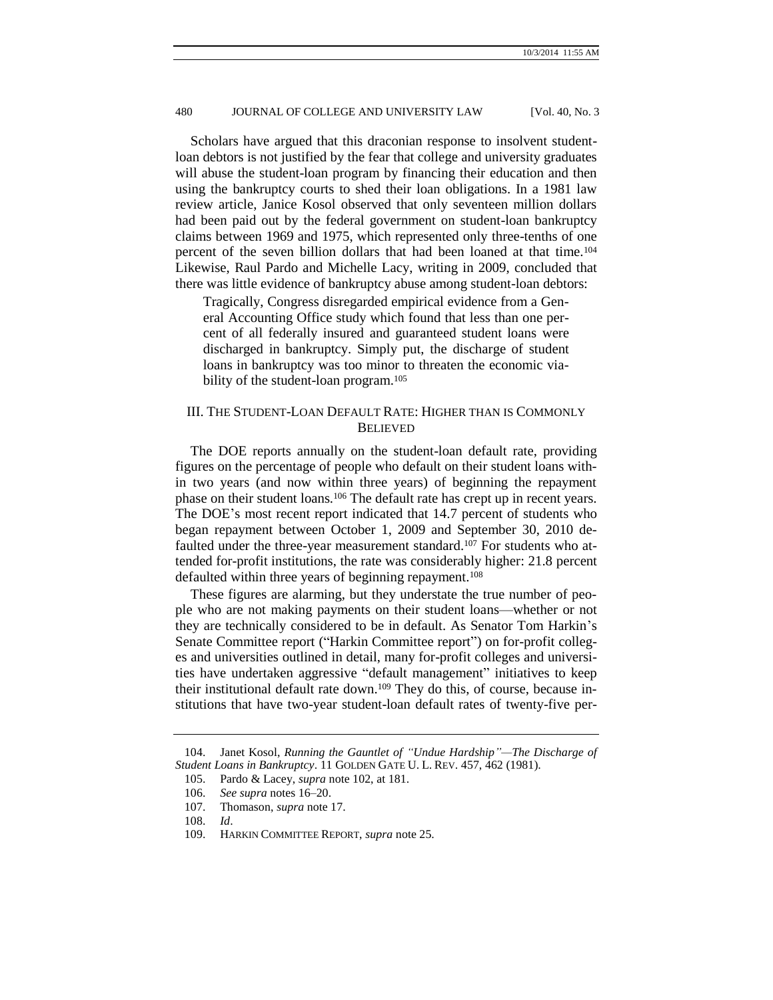Scholars have argued that this draconian response to insolvent studentloan debtors is not justified by the fear that college and university graduates will abuse the student-loan program by financing their education and then using the bankruptcy courts to shed their loan obligations. In a 1981 law review article, Janice Kosol observed that only seventeen million dollars had been paid out by the federal government on student-loan bankruptcy claims between 1969 and 1975, which represented only three-tenths of one percent of the seven billion dollars that had been loaned at that time.<sup>104</sup> Likewise, Raul Pardo and Michelle Lacy, writing in 2009, concluded that there was little evidence of bankruptcy abuse among student-loan debtors:

Tragically, Congress disregarded empirical evidence from a General Accounting Office study which found that less than one percent of all federally insured and guaranteed student loans were discharged in bankruptcy. Simply put, the discharge of student loans in bankruptcy was too minor to threaten the economic viability of the student-loan program.<sup>105</sup>

# III. THE STUDENT-LOAN DEFAULT RATE: HIGHER THAN IS COMMONLY **BELIEVED**

The DOE reports annually on the student-loan default rate, providing figures on the percentage of people who default on their student loans within two years (and now within three years) of beginning the repayment phase on their student loans.<sup>106</sup> The default rate has crept up in recent years. The DOE's most recent report indicated that 14.7 percent of students who began repayment between October 1, 2009 and September 30, 2010 defaulted under the three-year measurement standard.<sup>107</sup> For students who attended for-profit institutions, the rate was considerably higher: 21.8 percent defaulted within three years of beginning repayment.<sup>108</sup>

These figures are alarming, but they understate the true number of people who are not making payments on their student loans—whether or not they are technically considered to be in default. As Senator Tom Harkin's Senate Committee report ("Harkin Committee report") on for-profit colleges and universities outlined in detail, many for-profit colleges and universities have undertaken aggressive "default management" initiatives to keep their institutional default rate down.<sup>109</sup> They do this, of course, because institutions that have two-year student-loan default rates of twenty-five per-

<sup>104.</sup> Janet Kosol, *Running the Gauntlet of "Undue Hardship"—The Discharge of Student Loans in Bankruptcy*. 11 GOLDEN GATE U. L. REV. 457, 462 (1981).

<sup>105.</sup> Pardo & Lacey, *supra* not[e 102,](#page-12-1) at 181.

<sup>106.</sup> *See supra* note[s 16](#page-2-1)[–20.](#page-2-0)

<sup>107.</sup> Thomason, *supra* note [17.](#page-2-2)

<sup>108.</sup> *Id*.

<sup>109.</sup> HARKIN COMMITTEE REPORT, *supra* not[e 25.](#page-3-0)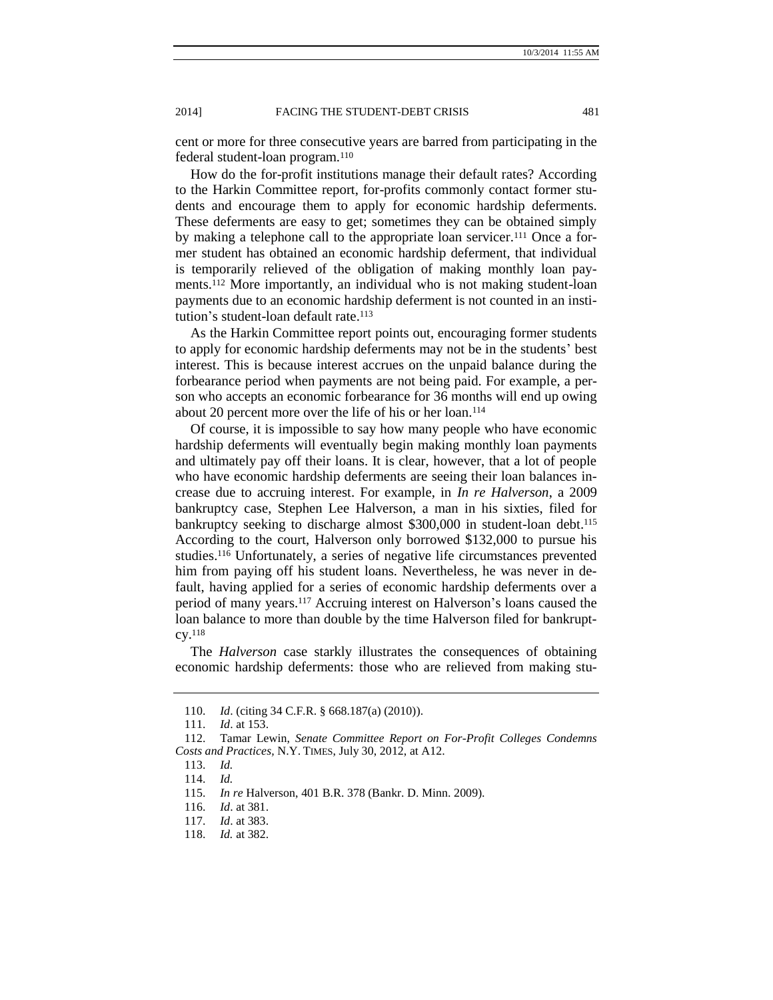cent or more for three consecutive years are barred from participating in the federal student-loan program.<sup>110</sup>

How do the for-profit institutions manage their default rates? According to the Harkin Committee report, for-profits commonly contact former students and encourage them to apply for economic hardship deferments. These deferments are easy to get; sometimes they can be obtained simply by making a telephone call to the appropriate loan servicer.<sup>111</sup> Once a former student has obtained an economic hardship deferment, that individual is temporarily relieved of the obligation of making monthly loan payments.<sup>112</sup> More importantly, an individual who is not making student-loan payments due to an economic hardship deferment is not counted in an institution's student-loan default rate.<sup>113</sup>

As the Harkin Committee report points out, encouraging former students to apply for economic hardship deferments may not be in the students' best interest. This is because interest accrues on the unpaid balance during the forbearance period when payments are not being paid. For example, a person who accepts an economic forbearance for 36 months will end up owing about 20 percent more over the life of his or her loan.<sup>114</sup>

Of course, it is impossible to say how many people who have economic hardship deferments will eventually begin making monthly loan payments and ultimately pay off their loans. It is clear, however, that a lot of people who have economic hardship deferments are seeing their loan balances increase due to accruing interest. For example, in *In re Halverson*, a 2009 bankruptcy case, Stephen Lee Halverson, a man in his sixties, filed for bankruptcy seeking to discharge almost \$300,000 in student-loan debt.<sup>115</sup> According to the court, Halverson only borrowed \$132,000 to pursue his studies.<sup>116</sup> Unfortunately, a series of negative life circumstances prevented him from paying off his student loans. Nevertheless, he was never in default, having applied for a series of economic hardship deferments over a period of many years.<sup>117</sup> Accruing interest on Halverson's loans caused the loan balance to more than double by the time Halverson filed for bankruptcy.<sup>118</sup>

The *Halverson* case starkly illustrates the consequences of obtaining economic hardship deferments: those who are relieved from making stu-

<sup>110.</sup> *Id*. (citing 34 C.F.R. § 668.187(a) (2010)).

<sup>111.</sup> *Id*. at 153.

<sup>112.</sup> Tamar Lewin, *Senate Committee Report on For-Profit Colleges Condemns Costs and Practices,* N.Y. TIMES, July 30, 2012, at A12.

<sup>113.</sup> *Id.*

<sup>114.</sup> *Id.*

<sup>115.</sup> *In re* Halverson, 401 B.R. 378 (Bankr. D. Minn. 2009).

<sup>116.</sup> *Id*. at 381.

<sup>117.</sup> *Id*. at 383.

<sup>118.</sup> *Id.* at 382.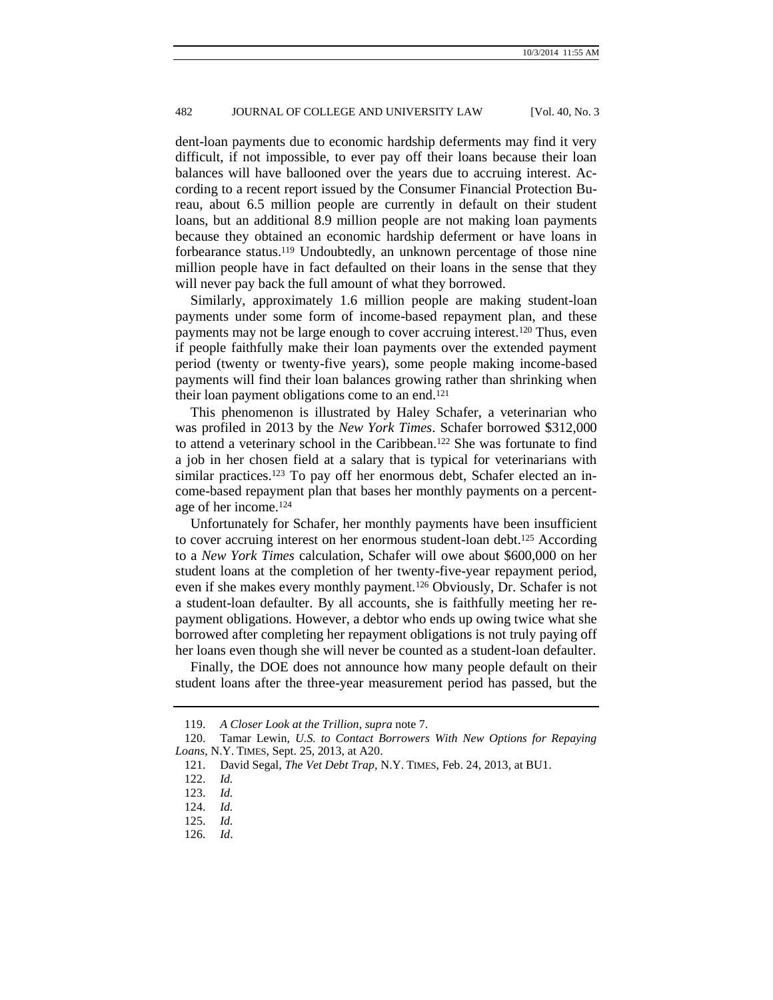dent-loan payments due to economic hardship deferments may find it very difficult, if not impossible, to ever pay off their loans because their loan balances will have ballooned over the years due to accruing interest. According to a recent report issued by the Consumer Financial Protection Bureau, about 6.5 million people are currently in default on their student loans, but an additional 8.9 million people are not making loan payments because they obtained an economic hardship deferment or have loans in forbearance status.<sup>119</sup> Undoubtedly, an unknown percentage of those nine million people have in fact defaulted on their loans in the sense that they will never pay back the full amount of what they borrowed.

Similarly, approximately 1.6 million people are making student-loan payments under some form of income-based repayment plan, and these payments may not be large enough to cover accruing interest.<sup>120</sup> Thus, even if people faithfully make their loan payments over the extended payment period (twenty or twenty-five years), some people making income-based payments will find their loan balances growing rather than shrinking when their loan payment obligations come to an end.<sup>121</sup>

This phenomenon is illustrated by Haley Schafer, a veterinarian who was profiled in 2013 by the *New York Times*. Schafer borrowed \$312,000 to attend a veterinary school in the Caribbean.<sup>122</sup> She was fortunate to find a job in her chosen field at a salary that is typical for veterinarians with similar practices.<sup>123</sup> To pay off her enormous debt, Schafer elected an income-based repayment plan that bases her monthly payments on a percentage of her income.<sup>124</sup>

Unfortunately for Schafer, her monthly payments have been insufficient to cover accruing interest on her enormous student-loan debt.<sup>125</sup> According to a *New York Times* calculation, Schafer will owe about \$600,000 on her student loans at the completion of her twenty-five-year repayment period, even if she makes every monthly payment.<sup>126</sup> Obviously, Dr. Schafer is not a student-loan defaulter. By all accounts, she is faithfully meeting her repayment obligations. However, a debtor who ends up owing twice what she borrowed after completing her repayment obligations is not truly paying off her loans even though she will never be counted as a student-loan defaulter.

Finally, the DOE does not announce how many people default on their student loans after the three-year measurement period has passed, but the

<sup>119.</sup> *A Closer Look at the Trillion*, *supra* note [7.](#page-1-1)

<sup>120.</sup> Tamar Lewin, *U.S. to Contact Borrowers With New Options for Repaying Loans*, N.Y. TIMES, Sept. 25, 2013, at A20.

<sup>121.</sup> David Segal, *The Vet Debt Trap,* N.Y. TIMES, Feb. 24, 2013, at BU1.

<sup>122.</sup> *Id.*

<sup>123.</sup> *Id.*

<sup>124.</sup> *Id.*

<sup>125.</sup> *Id.*

<sup>126.</sup> *Id*.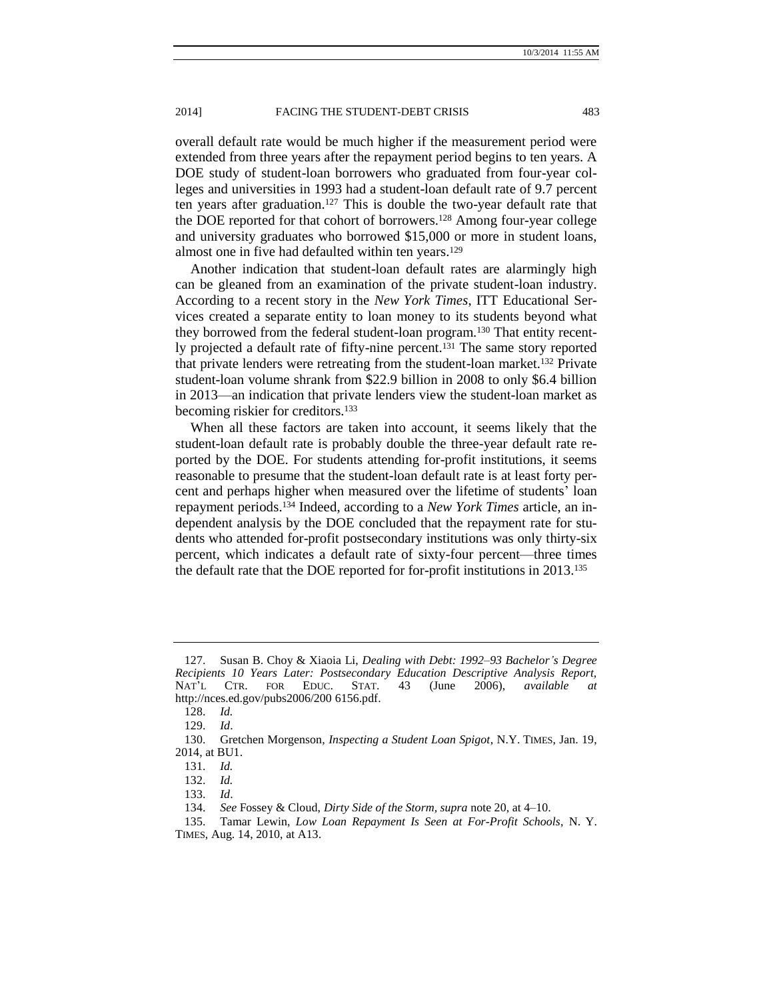overall default rate would be much higher if the measurement period were extended from three years after the repayment period begins to ten years. A DOE study of student-loan borrowers who graduated from four-year colleges and universities in 1993 had a student-loan default rate of 9.7 percent ten years after graduation.<sup>127</sup> This is double the two-year default rate that the DOE reported for that cohort of borrowers.<sup>128</sup> Among four-year college and university graduates who borrowed \$15,000 or more in student loans, almost one in five had defaulted within ten years.<sup>129</sup>

Another indication that student-loan default rates are alarmingly high can be gleaned from an examination of the private student-loan industry. According to a recent story in the *New York Times*, ITT Educational Services created a separate entity to loan money to its students beyond what they borrowed from the federal student-loan program.<sup>130</sup> That entity recently projected a default rate of fifty-nine percent.<sup>131</sup> The same story reported that private lenders were retreating from the student-loan market.<sup>132</sup> Private student-loan volume shrank from \$22.9 billion in 2008 to only \$6.4 billion in 2013—an indication that private lenders view the student-loan market as becoming riskier for creditors.<sup>133</sup>

When all these factors are taken into account, it seems likely that the student-loan default rate is probably double the three-year default rate reported by the DOE. For students attending for-profit institutions, it seems reasonable to presume that the student-loan default rate is at least forty percent and perhaps higher when measured over the lifetime of students' loan repayment periods. <sup>134</sup> Indeed, according to a *New York Times* article, an independent analysis by the DOE concluded that the repayment rate for students who attended for-profit postsecondary institutions was only thirty-six percent, which indicates a default rate of sixty-four percent—three times the default rate that the DOE reported for for-profit institutions in 2013.<sup>135</sup>

<sup>127.</sup> Susan B. Choy & Xiaoia Li, *Dealing with Debt: 1992–93 Bachelor's Degree Recipients 10 Years Later: Postsecondary Education Descriptive Analysis Report,*  NAT'L CTR. FOR EDUC. STAT. 43 (June 2006), *available at*  http://nces.ed.gov/pubs2006/200 6156.pdf.

<sup>128.</sup> *Id.*

<sup>129.</sup> *Id*.

<sup>130.</sup> Gretchen Morgenson, *Inspecting a Student Loan Spigot*, N.Y. TIMES, Jan. 19, 2014, at BU1.

<sup>131.</sup> *Id.*

<sup>132.</sup> *Id.*

<sup>133.</sup> *Id*.

<sup>134.</sup> *See* Fossey & Cloud, *Dirty Side of the Storm, supra* not[e 20,](#page-2-0) at 4–10.

<sup>135.</sup> Tamar Lewin, *Low Loan Repayment Is Seen at For-Profit Schools*, N. Y. TIMES, Aug. 14, 2010, at A13.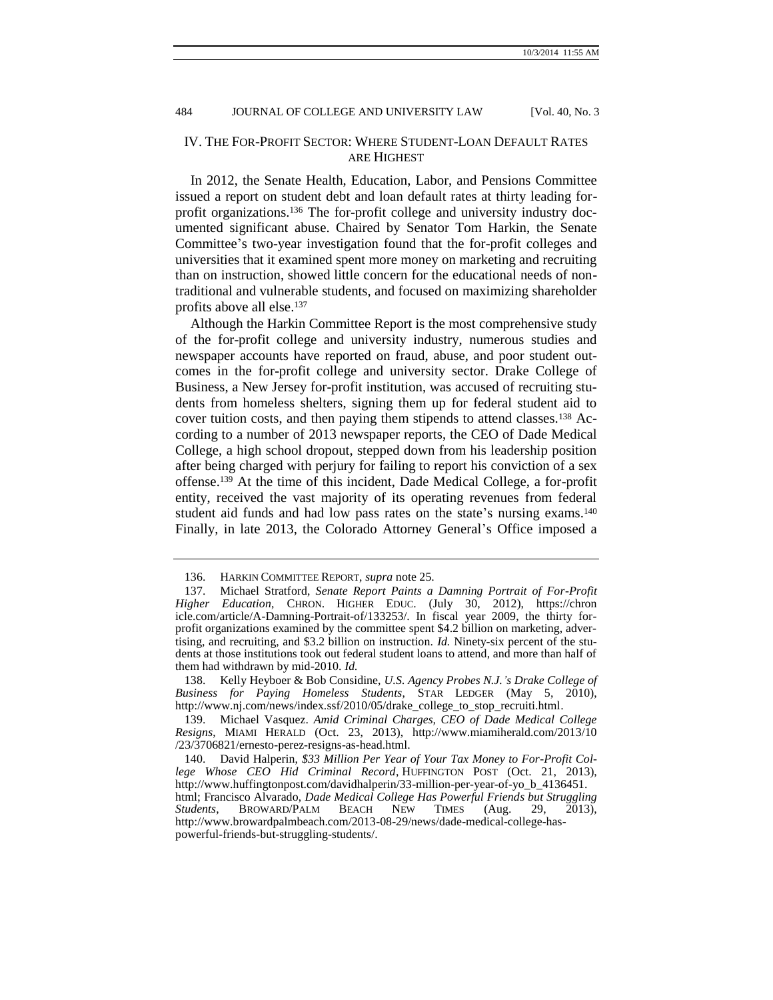# IV. THE FOR-PROFIT SECTOR: WHERE STUDENT-LOAN DEFAULT RATES ARE HIGHEST

In 2012, the Senate Health, Education, Labor, and Pensions Committee issued a report on student debt and loan default rates at thirty leading forprofit organizations.<sup>136</sup> The for-profit college and university industry documented significant abuse. Chaired by Senator Tom Harkin, the Senate Committee's two-year investigation found that the for-profit colleges and universities that it examined spent more money on marketing and recruiting than on instruction, showed little concern for the educational needs of nontraditional and vulnerable students, and focused on maximizing shareholder profits above all else.<sup>137</sup>

<span id="page-17-0"></span>Although the Harkin Committee Report is the most comprehensive study of the for-profit college and university industry, numerous studies and newspaper accounts have reported on fraud, abuse, and poor student outcomes in the for-profit college and university sector. Drake College of Business, a New Jersey for-profit institution, was accused of recruiting students from homeless shelters, signing them up for federal student aid to cover tuition costs, and then paying them stipends to attend classes.<sup>138</sup> According to a number of 2013 newspaper reports, the CEO of Dade Medical College, a high school dropout, stepped down from his leadership position after being charged with perjury for failing to report his conviction of a sex offense.<sup>139</sup> At the time of this incident, Dade Medical College, a for-profit entity, received the vast majority of its operating revenues from federal student aid funds and had low pass rates on the state's nursing exams.<sup>140</sup> Finally, in late 2013, the Colorado Attorney General's Office imposed a

<sup>136.</sup> HARKIN COMMITTEE REPORT, *supra* not[e 25.](#page-3-0)

<sup>137.</sup> Michael Stratford, *Senate Report Paints a Damning Portrait of For-Profit Higher Education*, CHRON. HIGHER EDUC. (July 30, 2012), https://chron icle.com/article/A-Damning-Portrait-of/133253/. In fiscal year 2009, the thirty forprofit organizations examined by the committee spent \$4.2 billion on marketing, advertising, and recruiting, and \$3.2 billion on instruction. *Id.* Ninety-six percent of the students at those institutions took out federal student loans to attend, and more than half of them had withdrawn by mid-2010. *Id.*

<sup>138.</sup> Kelly Heyboer & Bob Considine, *U.S. Agency Probes N.J.'s Drake College of Business for Paying Homeless Students*, STAR LEDGER (May 5, 2010), [http://www.nj.com/news/index.ssf/2010/05/drake\\_college\\_to\\_stop\\_recruiti.html.](http://www.nj.com/news/index.ssf/2010/05/drake_college_to_stop_recruiti.html)

<sup>139.</sup> Michael Vasquez. *Amid Criminal Charges, CEO of Dade Medical College Resigns*, MIAMI HERALD (Oct. 23, 2013), [http://www.miamiherald.com/2013/10](http://www.miamiherald.com/2013/10/23/3706821/ernesto-perez-resigns-as-head.html) [/23/3706821/ernesto-perez-resigns-as-head.html.](http://www.miamiherald.com/2013/10/23/3706821/ernesto-perez-resigns-as-head.html)

<sup>140.</sup> David Halperin, *\$33 Million Per Year of Your Tax Money to For-Profit College Whose CEO Hid Criminal Record*, HUFFINGTON POST (Oct. 21, 2013), http://www.huffingtonpost.com/davidhalperin/33-million-per-year-of-yo\_b\_4136451. html; Francisco Alvarado, *Dade Medical College Has Powerful Friends but Struggling Students*, BROWARD/PALM BEACH NEW TIMES (Aug. 29, 2013), [http://www.browardpalmbeach.com/2013-08-29/news/dade-medical-college-has](http://www.browardpalmbeach.com/2013-08-29/news/dade-medical-college-has-powerful-friends-but-struggling-students/)[powerful-friends-but-struggling-students/.](http://www.browardpalmbeach.com/2013-08-29/news/dade-medical-college-has-powerful-friends-but-struggling-students/)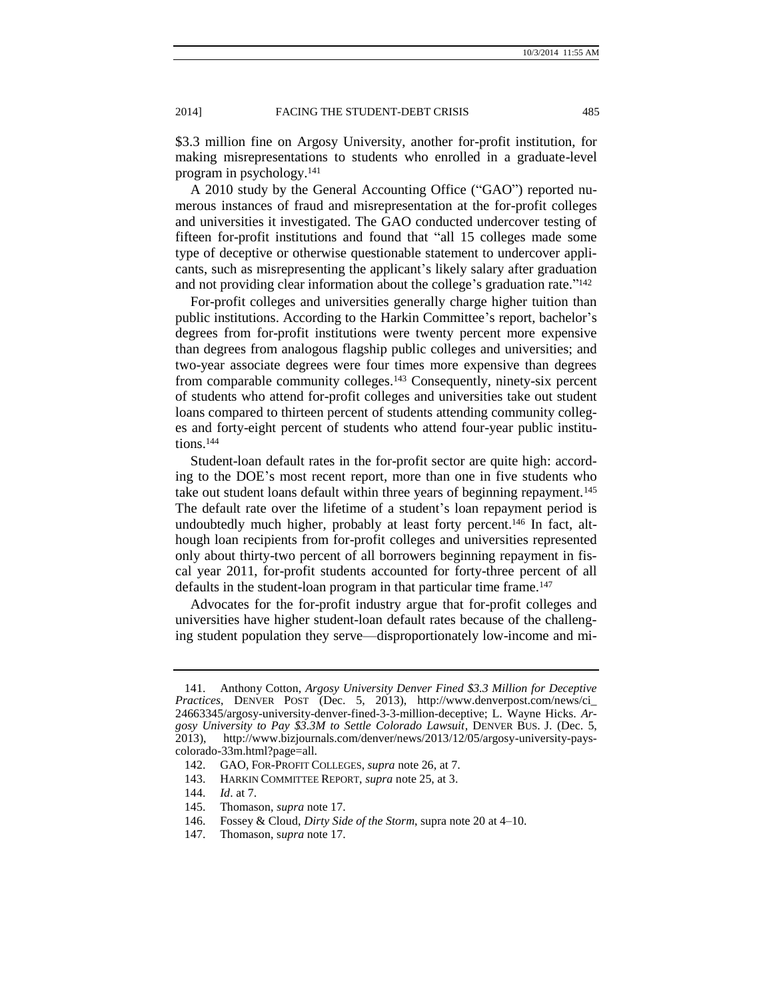\$3.3 million fine on Argosy University, another for-profit institution, for making misrepresentations to students who enrolled in a graduate-level program in psychology.<sup>141</sup>

A 2010 study by the General Accounting Office ("GAO") reported numerous instances of fraud and misrepresentation at the for-profit colleges and universities it investigated. The GAO conducted undercover testing of fifteen for-profit institutions and found that "all 15 colleges made some type of deceptive or otherwise questionable statement to undercover applicants, such as misrepresenting the applicant's likely salary after graduation and not providing clear information about the college's graduation rate."<sup>142</sup>

For-profit colleges and universities generally charge higher tuition than public institutions. According to the Harkin Committee's report, bachelor's degrees from for-profit institutions were twenty percent more expensive than degrees from analogous flagship public colleges and universities; and two-year associate degrees were four times more expensive than degrees from comparable community colleges.<sup>143</sup> Consequently, ninety-six percent of students who attend for-profit colleges and universities take out student loans compared to thirteen percent of students attending community colleges and forty-eight percent of students who attend four-year public institutions.<sup>144</sup>

Student-loan default rates in the for-profit sector are quite high: according to the DOE's most recent report, more than one in five students who take out student loans default within three years of beginning repayment.<sup>145</sup> The default rate over the lifetime of a student's loan repayment period is undoubtedly much higher, probably at least forty percent.<sup>146</sup> In fact, although loan recipients from for-profit colleges and universities represented only about thirty-two percent of all borrowers beginning repayment in fiscal year 2011, for-profit students accounted for forty-three percent of all defaults in the student-loan program in that particular time frame.<sup>147</sup>

Advocates for the for-profit industry argue that for-profit colleges and universities have higher student-loan default rates because of the challenging student population they serve—disproportionately low-income and mi-

- 145. Thomason, *supra* note [17.](#page-2-2)
- 146. Fossey & Cloud, *Dirty Side of the Storm*, supra note [20](#page-2-0) at 4–10.
- 147. Thomason, s*upra* note [17.](#page-2-2)

<sup>141.</sup> Anthony Cotton, *Argosy University Denver Fined \$3.3 Million for Deceptive Practices*, DENVER POST (Dec. 5, 2013), http://www.denverpost.com/news/ci\_ 24663345/argosy-university-denver-fined-3-3-million-deceptive; L. Wayne Hicks. *Argosy University to Pay \$3.3M to Settle Colorado Lawsuit*, DENVER BUS. J. (Dec. 5, 2013), http://www.bizjournals.com/denver/news/2013/12/05/argosy-university-payscolorado-33m.html?page=all.

<sup>142.</sup> GAO, FOR-PROFIT COLLEGES, *supra* note [26,](#page-3-1) at 7.

<sup>143.</sup> HARKIN COMMITTEE REPORT, *supra* not[e 25,](#page-3-0) at 3.

<sup>144.</sup> *Id*. at 7.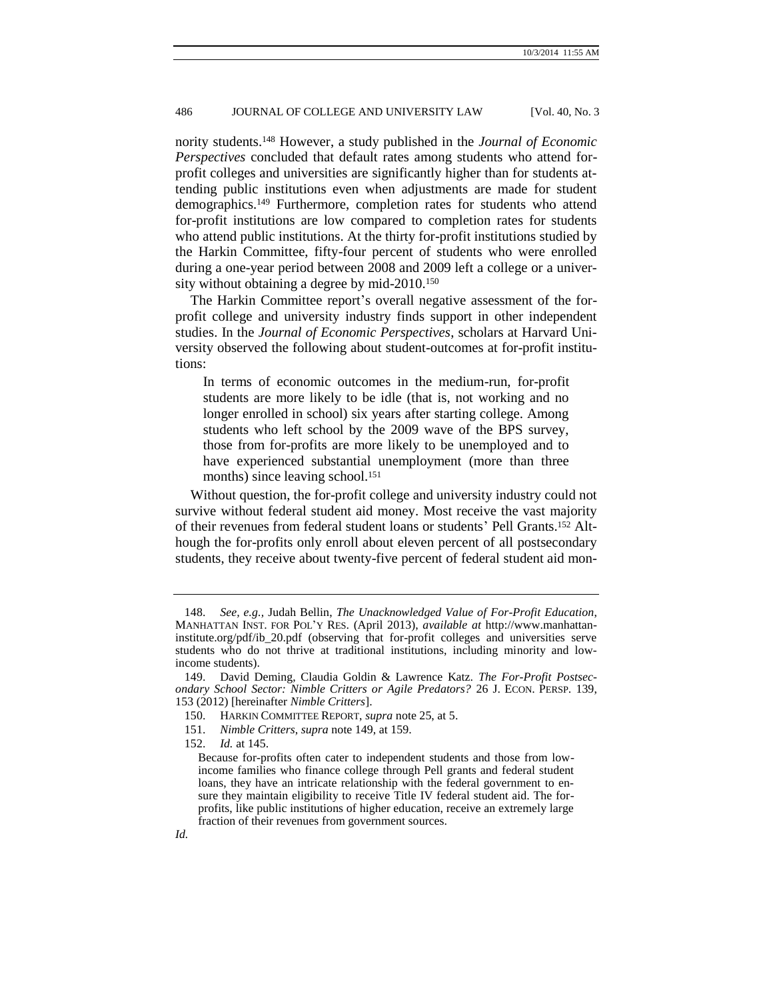<span id="page-19-0"></span>nority students.<sup>148</sup> However, a study published in the *Journal of Economic Perspectives* concluded that default rates among students who attend forprofit colleges and universities are significantly higher than for students attending public institutions even when adjustments are made for student demographics.<sup>149</sup> Furthermore, completion rates for students who attend for-profit institutions are low compared to completion rates for students who attend public institutions. At the thirty for-profit institutions studied by the Harkin Committee, fifty-four percent of students who were enrolled during a one-year period between 2008 and 2009 left a college or a university without obtaining a degree by mid-2010.<sup>150</sup>

The Harkin Committee report's overall negative assessment of the forprofit college and university industry finds support in other independent studies. In the *Journal of Economic Perspectives*, scholars at Harvard University observed the following about student-outcomes at for-profit institutions:

In terms of economic outcomes in the medium-run, for-profit students are more likely to be idle (that is, not working and no longer enrolled in school) six years after starting college. Among students who left school by the 2009 wave of the BPS survey, those from for-profits are more likely to be unemployed and to have experienced substantial unemployment (more than three months) since leaving school.<sup>151</sup>

Without question, the for-profit college and university industry could not survive without federal student aid money. Most receive the vast majority of their revenues from federal student loans or students' Pell Grants.<sup>152</sup> Although the for-profits only enroll about eleven percent of all postsecondary students, they receive about twenty-five percent of federal student aid mon-

<sup>148.</sup> *See, e.g.,* Judah Bellin, *The Unacknowledged Value of For-Profit Education*, MANHATTAN INST. FOR POL'Y RES. (April 2013), *available at* http://www.manhattaninstitute.org/pdf/ib\_20.pdf (observing that for-profit colleges and universities serve students who do not thrive at traditional institutions, including minority and lowincome students).

<sup>149.</sup> David Deming, Claudia Goldin & Lawrence Katz. *The For-Profit Postsecondary School Sector: Nimble Critters or Agile Predators?* 26 J. ECON. PERSP. 139, 153 (2012) [hereinafter *Nimble Critters*].

<sup>150.</sup> HARKIN COMMITTEE REPORT, *supra* not[e 25,](#page-3-0) at 5.

<sup>151.</sup> *Nimble Critters*, *supra* not[e 149,](#page-19-0) at 159.

<sup>152.</sup> *Id.* at 145.

Because for-profits often cater to independent students and those from lowincome families who finance college through Pell grants and federal student loans, they have an intricate relationship with the federal government to ensure they maintain eligibility to receive Title IV federal student aid. The forprofits, like public institutions of higher education, receive an extremely large fraction of their revenues from government sources.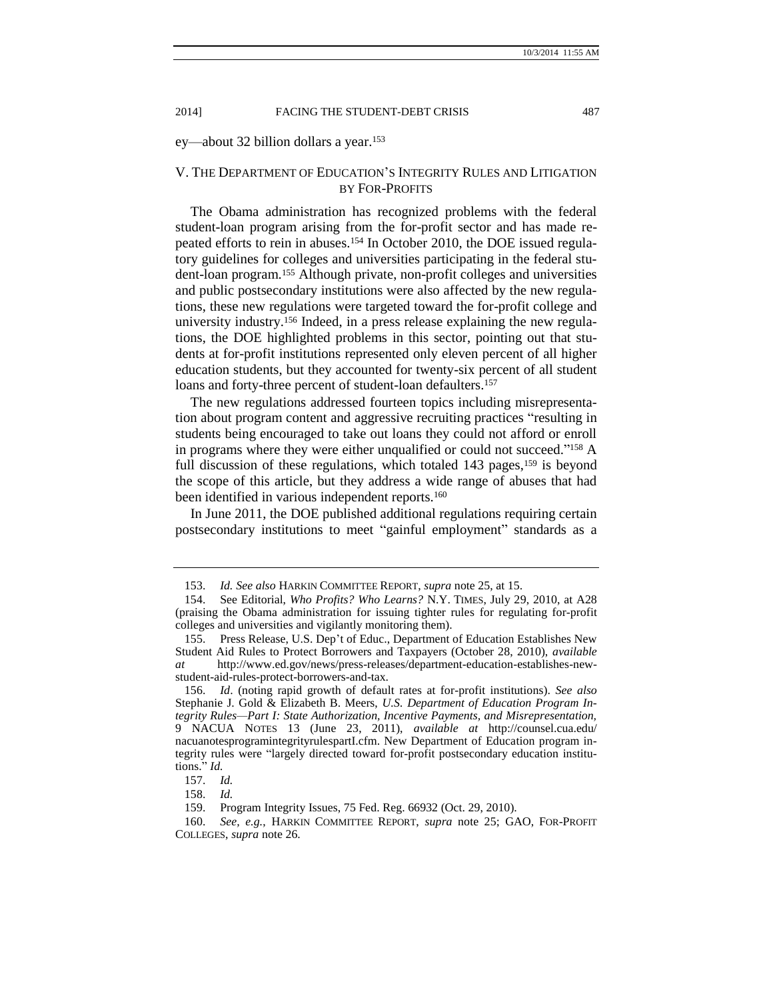ey—about 32 billion dollars a year.<sup>153</sup>

# V. THE DEPARTMENT OF EDUCATION'S INTEGRITY RULES AND LITIGATION BY FOR-PROFITS

The Obama administration has recognized problems with the federal student-loan program arising from the for-profit sector and has made repeated efforts to rein in abuses.<sup>154</sup> In October 2010, the DOE issued regulatory guidelines for colleges and universities participating in the federal student-loan program.<sup>155</sup> Although private, non-profit colleges and universities and public postsecondary institutions were also affected by the new regulations, these new regulations were targeted toward the for-profit college and university industry.<sup>156</sup> Indeed, in a press release explaining the new regulations, the DOE highlighted problems in this sector, pointing out that students at for-profit institutions represented only eleven percent of all higher education students, but they accounted for twenty-six percent of all student loans and forty-three percent of student-loan defaulters.<sup>157</sup>

The new regulations addressed fourteen topics including misrepresentation about program content and aggressive recruiting practices "resulting in students being encouraged to take out loans they could not afford or enroll in programs where they were either unqualified or could not succeed." <sup>158</sup> A full discussion of these regulations, which totaled  $143$  pages,  $159$  is beyond the scope of this article, but they address a wide range of abuses that had been identified in various independent reports.<sup>160</sup>

In June 2011, the DOE published additional regulations requiring certain postsecondary institutions to meet "gainful employment" standards as a

<sup>153.</sup> *Id. See also* HARKIN COMMITTEE REPORT, *supra* not[e 25,](#page-3-0) at 15.

<sup>154.</sup> See Editorial, *Who Profits? Who Learns?* N.Y. TIMES, July 29, 2010, at A28 (praising the Obama administration for issuing tighter rules for regulating for-profit colleges and universities and vigilantly monitoring them).

<sup>155.</sup> Press Release, U.S. Dep't of Educ., Department of Education Establishes New Student Aid Rules to Protect Borrowers and Taxpayers (October 28, 2010), *available at* http://www.ed.gov/news/press-releases/department-education-establishes-newstudent-aid-rules-protect-borrowers-and-tax.

<sup>156.</sup> *Id*. (noting rapid growth of default rates at for-profit institutions). *See also* Stephanie J. Gold & Elizabeth B. Meers, *U.S. Department of Education Program Integrity Rules—Part I: State Authorization, Incentive Payments, and Misrepresentation,* 9 NACUA NOTES 13 (June 23, 2011), *available at* http://counsel.cua.edu/ nacuanotesprogramintegrityrulespartI.cfm. New Department of Education program integrity rules were "largely directed toward for-profit postsecondary education institutions." *Id.*

<sup>157.</sup> *Id.*

<sup>158.</sup> *Id.*

<sup>159.</sup> Program Integrity Issues, 75 Fed. Reg. 66932 (Oct. 29, 2010).

<sup>160.</sup> *See, e.g.*, HARKIN COMMITTEE REPORT, *supra* note [25;](#page-3-0) GAO, FOR-PROFIT COLLEGES, *supra* note [26.](#page-3-1)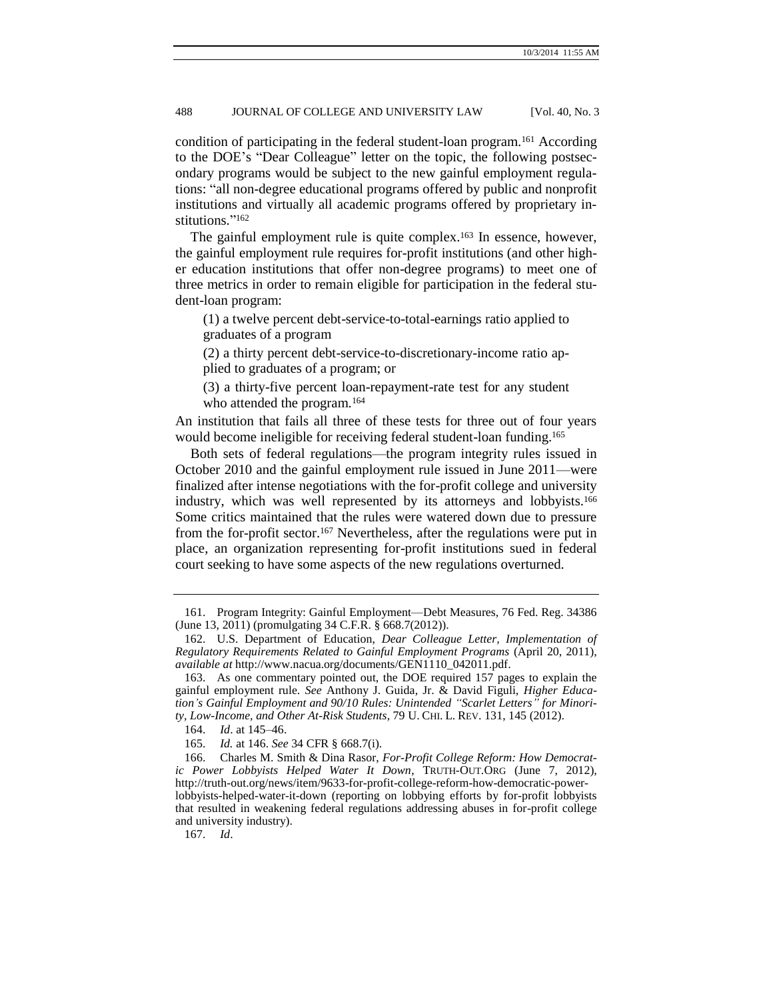condition of participating in the federal student-loan program.<sup>161</sup> According to the DOE's "Dear Colleague" letter on the topic, the following postsecondary programs would be subject to the new gainful employment regulations: "all non-degree educational programs offered by public and nonprofit institutions and virtually all academic programs offered by proprietary institutions." 162

The gainful employment rule is quite complex.<sup>163</sup> In essence, however, the gainful employment rule requires for-profit institutions (and other higher education institutions that offer non-degree programs) to meet one of three metrics in order to remain eligible for participation in the federal student-loan program:

(1) a twelve percent debt-service-to-total-earnings ratio applied to graduates of a program

(2) a thirty percent debt-service-to-discretionary-income ratio applied to graduates of a program; or

(3) a thirty-five percent loan-repayment-rate test for any student who attended the program.<sup>164</sup>

An institution that fails all three of these tests for three out of four years would become ineligible for receiving federal student-loan funding.<sup>165</sup>

Both sets of federal regulations—the program integrity rules issued in October 2010 and the gainful employment rule issued in June 2011—were finalized after intense negotiations with the for-profit college and university industry, which was well represented by its attorneys and lobbyists.<sup>166</sup> Some critics maintained that the rules were watered down due to pressure from the for-profit sector.<sup>167</sup> Nevertheless, after the regulations were put in place, an organization representing for-profit institutions sued in federal court seeking to have some aspects of the new regulations overturned.

167. *Id*.

<sup>161.</sup> Program Integrity: Gainful Employment—Debt Measures, 76 Fed. Reg. 34386 (June 13, 2011) (promulgating 34 C.F.R. § 668.7(2012)).

<sup>162.</sup> U.S. Department of Education, *Dear Colleague Letter, Implementation of Regulatory Requirements Related to Gainful Employment Programs* (April 20, 2011), *available at* http://www.nacua.org/documents/GEN1110\_042011.pdf.

<sup>163.</sup> As one commentary pointed out, the DOE required 157 pages to explain the gainful employment rule. *See* Anthony J. Guida, Jr. & David Figuli, *Higher Education's Gainful Employment and 90/10 Rules: Unintended "Scarlet Letters" for Minority, Low-Income, and Other At-Risk Students*, 79 U. CHI. L. REV. 131, 145 (2012).

<sup>164.</sup> *Id*. at 145–46.

<sup>165.</sup> *Id.* at 146. *See* 34 CFR § 668.7(i).

<sup>166.</sup> Charles M. Smith & Dina Rasor, *For-Profit College Reform: How Democratic Power Lobbyists Helped Water It Down*, TRUTH-OUT.ORG (June 7, 2012), http://truth-out.org/news/item/9633-for-profit-college-reform-how-democratic-powerlobbyists-helped-water-it-down (reporting on lobbying efforts by for-profit lobbyists that resulted in weakening federal regulations addressing abuses in for-profit college and university industry).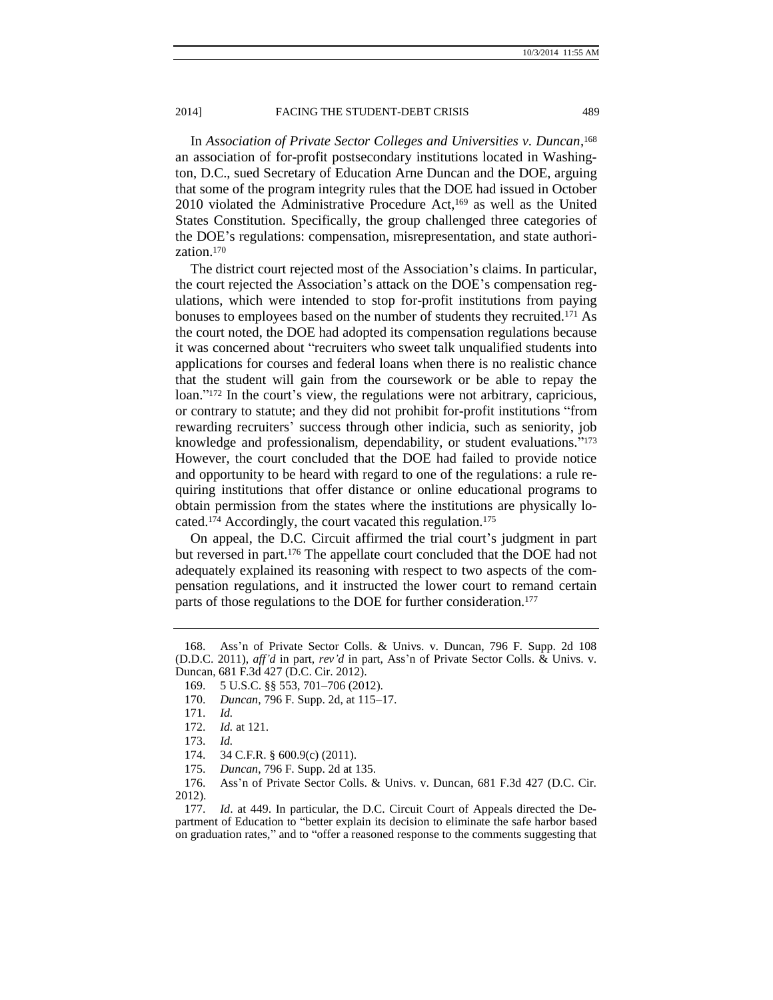In *Association of Private Sector Colleges and Universities v. Duncan*, 168 an association of for-profit postsecondary institutions located in Washington, D.C., sued Secretary of Education Arne Duncan and the DOE, arguing that some of the program integrity rules that the DOE had issued in October 2010 violated the Administrative Procedure Act,<sup>169</sup> as well as the United States Constitution. Specifically, the group challenged three categories of the DOE's regulations: compensation, misrepresentation, and state authorization.<sup>170</sup>

The district court rejected most of the Association's claims. In particular, the court rejected the Association's attack on the DOE's compensation regulations, which were intended to stop for-profit institutions from paying bonuses to employees based on the number of students they recruited.<sup>171</sup> As the court noted, the DOE had adopted its compensation regulations because it was concerned about "recruiters who sweet talk unqualified students into applications for courses and federal loans when there is no realistic chance that the student will gain from the coursework or be able to repay the loan." <sup>172</sup> In the court's view, the regulations were not arbitrary, capricious, or contrary to statute; and they did not prohibit for-profit institutions "from rewarding recruiters' success through other indicia, such as seniority, job knowledge and professionalism, dependability, or student evaluations." 173 However, the court concluded that the DOE had failed to provide notice and opportunity to be heard with regard to one of the regulations: a rule requiring institutions that offer distance or online educational programs to obtain permission from the states where the institutions are physically located.<sup>174</sup> Accordingly, the court vacated this regulation.<sup>175</sup>

On appeal, the D.C. Circuit affirmed the trial court's judgment in part but reversed in part.<sup>176</sup> The appellate court concluded that the DOE had not adequately explained its reasoning with respect to two aspects of the compensation regulations, and it instructed the lower court to remand certain parts of those regulations to the DOE for further consideration.<sup>177</sup>

<sup>168.</sup> Ass'n of Private Sector Colls. & Univs. v. Duncan, 796 F. Supp. 2d 108 (D.D.C. 2011), *aff'd* in part, *rev'd* in part, Ass'n of Private Sector Colls. & Univs. v. Duncan, 681 F.3d 427 (D.C. Cir. 2012).

<sup>169.</sup> 5 U.S.C. §§ 553, 701–706 (2012).

<sup>170.</sup> *Duncan*, 796 F. Supp. 2d, at 115–17.

<sup>171.</sup> *Id.*

<sup>172.</sup> *Id.* at 121.

<sup>173.</sup> *Id.*

<sup>174.</sup> 34 C.F.R. § 600.9(c) (2011).

<sup>175.</sup> *Duncan*, 796 F. Supp. 2d at 135.

<sup>176.</sup> Ass'n of Private Sector Colls. & Univs. v. Duncan, 681 F.3d 427 (D.C. Cir. 2012).

<sup>177.</sup> *Id*. at 449. In particular, the D.C. Circuit Court of Appeals directed the Department of Education to "better explain its decision to eliminate the safe harbor based on graduation rates," and to "offer a reasoned response to the comments suggesting that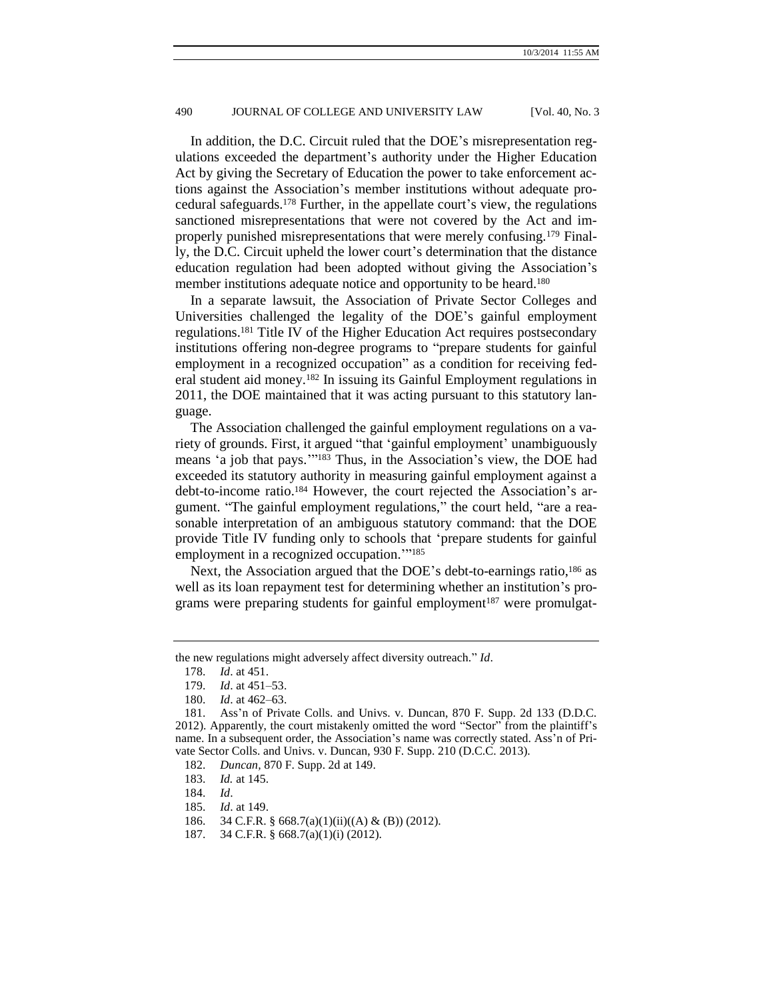In addition, the D.C. Circuit ruled that the DOE's misrepresentation regulations exceeded the department's authority under the Higher Education Act by giving the Secretary of Education the power to take enforcement actions against the Association's member institutions without adequate procedural safeguards.<sup>178</sup> Further, in the appellate court's view, the regulations sanctioned misrepresentations that were not covered by the Act and improperly punished misrepresentations that were merely confusing.<sup>179</sup> Finally, the D.C. Circuit upheld the lower court's determination that the distance education regulation had been adopted without giving the Association's member institutions adequate notice and opportunity to be heard.<sup>180</sup>

In a separate lawsuit, the Association of Private Sector Colleges and Universities challenged the legality of the DOE's gainful employment regulations.<sup>181</sup> Title IV of the Higher Education Act requires postsecondary institutions offering non-degree programs to "prepare students for gainful employment in a recognized occupation" as a condition for receiving federal student aid money.<sup>182</sup> In issuing its Gainful Employment regulations in 2011, the DOE maintained that it was acting pursuant to this statutory language.

The Association challenged the gainful employment regulations on a variety of grounds. First, it argued "that 'gainful employment' unambiguously means 'a job that pays.'" <sup>183</sup> Thus, in the Association's view, the DOE had exceeded its statutory authority in measuring gainful employment against a debt-to-income ratio.<sup>184</sup> However, the court rejected the Association's argument. "The gainful employment regulations," the court held, "are a reasonable interpretation of an ambiguous statutory command: that the DOE provide Title IV funding only to schools that 'prepare students for gainful employment in a recognized occupation."<sup>185</sup>

Next, the Association argued that the DOE's debt-to-earnings ratio,<sup>186</sup> as well as its loan repayment test for determining whether an institution's programs were preparing students for gainful employment<sup>187</sup> were promulgat-

the new regulations might adversely affect diversity outreach." *Id*.

<sup>178.</sup> *Id*. at 451.

<sup>179.</sup> *Id*. at 451–53.

<sup>180.</sup> *Id*. at 462–63.

<sup>181.</sup> Ass'n of Private Colls. and Univs. v. Duncan, 870 F. Supp. 2d 133 (D.D.C. 2012). Apparently, the court mistakenly omitted the word "Sector" from the plaintiff's name. In a subsequent order, the Association's name was correctly stated. Ass'n of Private Sector Colls. and Univs. v. Duncan, 930 F. Supp. 210 (D.C.C. 2013).

<sup>182.</sup> *Duncan,* 870 F. Supp. 2d at 149.

<sup>183.</sup> *Id.* at 145.

<sup>184.</sup> *Id*.

<sup>185.</sup> *Id*. at 149.

<sup>186.</sup> 34 C.F.R. § 668.7(a)(1)(ii)((A) & (B)) (2012).

<sup>187.</sup> 34 C.F.R. § 668.7(a)(1)(i) (2012).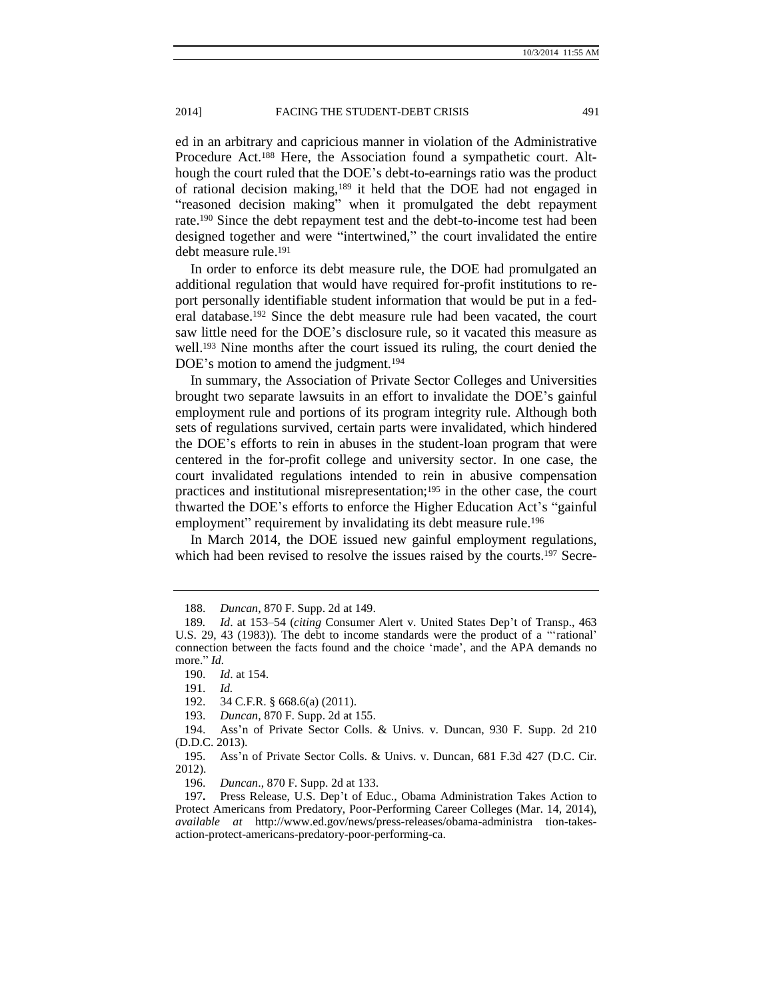ed in an arbitrary and capricious manner in violation of the Administrative Procedure Act.<sup>188</sup> Here, the Association found a sympathetic court. Although the court ruled that the DOE's debt-to-earnings ratio was the product of rational decision making,<sup>189</sup> it held that the DOE had not engaged in "reasoned decision making" when it promulgated the debt repayment rate.<sup>190</sup> Since the debt repayment test and the debt-to-income test had been designed together and were "intertwined," the court invalidated the entire debt measure rule.<sup>191</sup>

In order to enforce its debt measure rule, the DOE had promulgated an additional regulation that would have required for-profit institutions to report personally identifiable student information that would be put in a federal database.<sup>192</sup> Since the debt measure rule had been vacated, the court saw little need for the DOE's disclosure rule, so it vacated this measure as well.<sup>193</sup> Nine months after the court issued its ruling, the court denied the DOE's motion to amend the judgment.<sup>194</sup>

In summary, the Association of Private Sector Colleges and Universities brought two separate lawsuits in an effort to invalidate the DOE's gainful employment rule and portions of its program integrity rule. Although both sets of regulations survived, certain parts were invalidated, which hindered the DOE's efforts to rein in abuses in the student-loan program that were centered in the for-profit college and university sector. In one case, the court invalidated regulations intended to rein in abusive compensation practices and institutional misrepresentation;<sup>195</sup> in the other case, the court thwarted the DOE's efforts to enforce the Higher Education Act's "gainful employment" requirement by invalidating its debt measure rule.<sup>196</sup>

In March 2014, the DOE issued new gainful employment regulations, which had been revised to resolve the issues raised by the courts.<sup>197</sup> Secre-

192. 34 C.F.R. § 668.6(a) (2011).

<sup>188.</sup> *Duncan,* 870 F. Supp. 2d at 149.

<sup>189</sup>*. Id*. at 153–54 (*citing* Consumer Alert v. United States Dep't of Transp., 463 U.S. 29, 43 (1983)). The debt to income standards were the product of a "'rational' connection between the facts found and the choice 'made', and the APA demands no more." *Id.*

<sup>190.</sup> *Id*. at 154.

<sup>191.</sup> *Id.*

<sup>193.</sup> *Duncan,* 870 F. Supp. 2d at 155.

<sup>194.</sup> Ass'n of Private Sector Colls. & Univs. v. Duncan, 930 F. Supp. 2d 210 (D.D.C. 2013).

<sup>195.</sup> Ass'n of Private Sector Colls. & Univs. v. Duncan, 681 F.3d 427 (D.C. Cir. 2012).

<sup>196.</sup> *Duncan*., 870 F. Supp. 2d at 133.

<sup>197</sup>**.** Press Release, U.S. Dep't of Educ., Obama Administration Takes Action to Protect Americans from Predatory, Poor-Performing Career Colleges (Mar. 14, 2014), *available at* http://www.ed.gov/news/press-releases/obama-administra tion-takesaction-protect-americans-predatory-poor-performing-ca.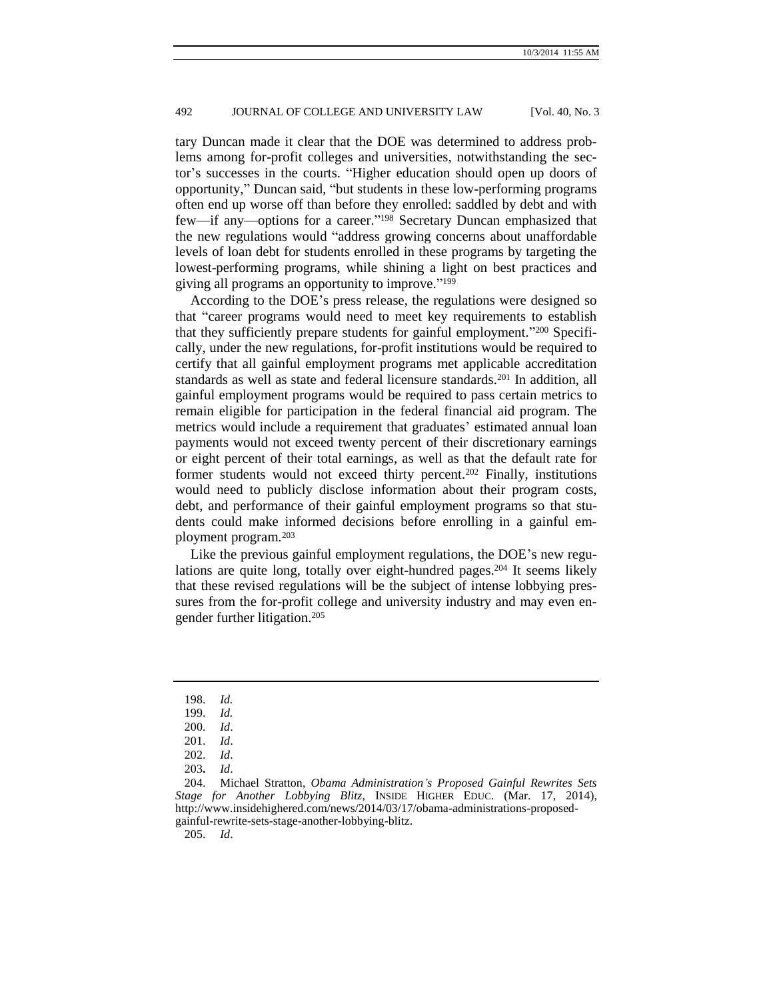tary Duncan made it clear that the DOE was determined to address problems among for-profit colleges and universities, notwithstanding the sector's successes in the courts. "Higher education should open up doors of opportunity," Duncan said, "but students in these low-performing programs often end up worse off than before they enrolled: saddled by debt and with few—if any—options for a career." <sup>198</sup> Secretary Duncan emphasized that the new regulations would "address growing concerns about unaffordable levels of loan debt for students enrolled in these programs by targeting the lowest-performing programs, while shining a light on best practices and giving all programs an opportunity to improve." 199

According to the DOE's press release, the regulations were designed so that "career programs would need to meet key requirements to establish that they sufficiently prepare students for gainful employment." <sup>200</sup> Specifically, under the new regulations, for-profit institutions would be required to certify that all gainful employment programs met applicable accreditation standards as well as state and federal licensure standards.<sup>201</sup> In addition, all gainful employment programs would be required to pass certain metrics to remain eligible for participation in the federal financial aid program. The metrics would include a requirement that graduates' estimated annual loan payments would not exceed twenty percent of their discretionary earnings or eight percent of their total earnings, as well as that the default rate for former students would not exceed thirty percent.<sup>202</sup> Finally, institutions would need to publicly disclose information about their program costs, debt, and performance of their gainful employment programs so that students could make informed decisions before enrolling in a gainful employment program.<sup>203</sup>

Like the previous gainful employment regulations, the DOE's new regulations are quite long, totally over eight-hundred pages.<sup>204</sup> It seems likely that these revised regulations will be the subject of intense lobbying pressures from the for-profit college and university industry and may even engender further litigation.<sup>205</sup>

205. *Id*.

<sup>198.</sup> *Id.*

<sup>199.</sup> *Id.*

<sup>200.</sup> *Id*.

<sup>201.</sup> *Id*.

<sup>202.</sup> *Id*.

<sup>203</sup>**.** *Id*.

<sup>204.</sup> Michael Stratton, *Obama Administration's Proposed Gainful Rewrites Sets Stage for Another Lobbying Blitz*, INSIDE HIGHER EDUC. (Mar. 17, 2014), http://www.insidehighered.com/news/2014/03/17/obama-administrations-proposedgainful-rewrite-sets-stage-another-lobbying-blitz.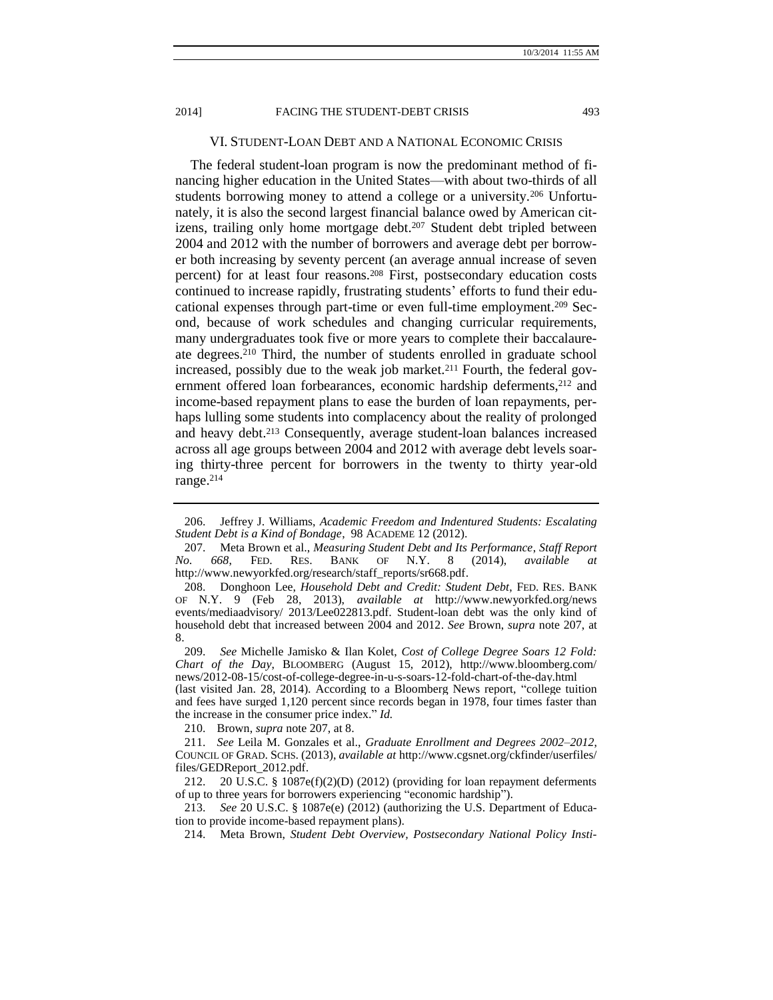<span id="page-26-1"></span><span id="page-26-0"></span>VI. STUDENT-LOAN DEBT AND A NATIONAL ECONOMIC CRISIS

The federal student-loan program is now the predominant method of financing higher education in the United States—with about two-thirds of all students borrowing money to attend a college or a university.<sup>206</sup> Unfortunately, it is also the second largest financial balance owed by American citizens, trailing only home mortgage debt.<sup>207</sup> Student debt tripled between 2004 and 2012 with the number of borrowers and average debt per borrower both increasing by seventy percent (an average annual increase of seven percent) for at least four reasons.<sup>208</sup> First, postsecondary education costs continued to increase rapidly, frustrating students' efforts to fund their educational expenses through part-time or even full-time employment.<sup>209</sup> Second, because of work schedules and changing curricular requirements, many undergraduates took five or more years to complete their baccalaureate degrees.<sup>210</sup> Third, the number of students enrolled in graduate school increased, possibly due to the weak job market.<sup>211</sup> Fourth, the federal government offered loan forbearances, economic hardship deferments,<sup>212</sup> and income-based repayment plans to ease the burden of loan repayments, perhaps lulling some students into complacency about the reality of prolonged and heavy debt.<sup>213</sup> Consequently, average student-loan balances increased across all age groups between 2004 and 2012 with average debt levels soaring thirty-three percent for borrowers in the twenty to thirty year-old range.<sup>214</sup>

(last visited Jan. 28, 2014). According to a Bloomberg News report, "college tuition and fees have surged 1,120 percent since records began in 1978, four times faster than the increase in the [consumer price index.](http://topics.bloomberg.com/consumer-price-index/)" *Id.*

210. Brown, *supra* not[e 207,](#page-26-0) at 8.

213. *See* 20 U.S.C. § 1087e(e) (2012) (authorizing the U.S. Department of Education to provide income-based repayment plans).

214. Meta Brown, *Student Debt Overview, Postsecondary National Policy Insti-*

<sup>206.</sup> Jeffrey J. Williams, *Academic Freedom and Indentured Students: Escalating Student Debt is a Kind of Bondage*, 98 ACADEME 12 (2012).

<sup>207.</sup> Meta Brown et al., *Measuring Student Debt and Its Performance*, *Staff Report No. 668*, FED. RES. BANK OF N.Y. 8 (2014), *available at*  http://www.newyorkfed.org/research/staff\_reports/sr668.pdf.

<sup>208.</sup> Donghoon Lee, *Household Debt and Credit: Student Debt*, FED. RES. BANK OF N.Y. 9 (Feb 28, 2013), *available at* http://www.newyorkfed.org/news events/mediaadvisory/ 2013/Lee022813.pdf. Student-loan debt was the only kind of household debt that increased between 2004 and 2012. *See* Brown, *supra* note [207,](#page-26-0) at 8.

<sup>209.</sup> *See* Michelle Jamisko & Ilan Kolet, *Cost of College Degree Soars 12 Fold: Chart of the Day*, BLOOMBERG (August 15, 2012), http://www.bloomberg.com/ news/2012-08-15/cost-of-college-degree-in-u-s-soars-12-fold-chart-of-the-day.html

<sup>211.</sup> *See* Leila M. Gonzales et al., *Graduate Enrollment and Degrees 2002–2012*, COUNCIL OF GRAD. SCHS. (2013), *available at* http://www.cgsnet.org/ckfinder/userfiles/ files/GEDReport\_2012.pdf.

<sup>212.</sup> 20 U.S.C. § 1087e(f)(2)(D) (2012) (providing for loan repayment deferments of up to three years for borrowers experiencing "economic hardship").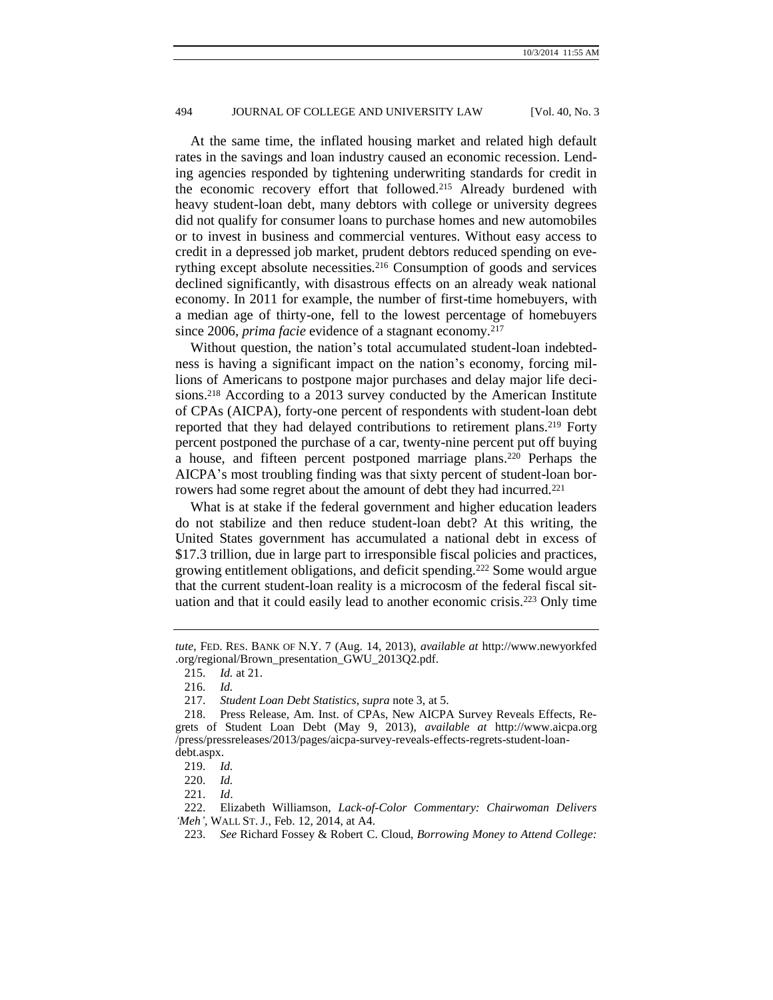At the same time, the inflated housing market and related high default rates in the savings and loan industry caused an economic recession. Lending agencies responded by tightening underwriting standards for credit in the economic recovery effort that followed.<sup>215</sup> Already burdened with heavy student-loan debt, many debtors with college or university degrees did not qualify for consumer loans to purchase homes and new automobiles or to invest in business and commercial ventures. Without easy access to credit in a depressed job market, prudent debtors reduced spending on everything except absolute necessities.<sup>216</sup> Consumption of goods and services declined significantly, with disastrous effects on an already weak national economy. In 2011 for example, the number of first-time homebuyers, with a median age of thirty-one, fell to the lowest percentage of homebuyers since 2006, *prima facie* evidence of a stagnant economy.<sup>217</sup>

Without question, the nation's total accumulated student-loan indebtedness is having a significant impact on the nation's economy, forcing millions of Americans to postpone major purchases and delay major life decisions.<sup>218</sup> According to a 2013 survey conducted by the American Institute of CPAs (AICPA), forty-one percent of respondents with student-loan debt reported that they had delayed contributions to retirement plans.<sup>219</sup> Forty percent postponed the purchase of a car, twenty-nine percent put off buying a house, and fifteen percent postponed marriage plans.<sup>220</sup> Perhaps the AICPA's most troubling finding was that sixty percent of student-loan borrowers had some regret about the amount of debt they had incurred.<sup>221</sup>

What is at stake if the federal government and higher education leaders do not stabilize and then reduce student-loan debt? At this writing, the United States government has accumulated a national debt in excess of \$17.3 trillion, due in large part to irresponsible fiscal policies and practices, growing entitlement obligations, and deficit spending.<sup>222</sup> Some would argue that the current student-loan reality is a microcosm of the federal fiscal situation and that it could easily lead to another economic crisis.<sup>223</sup> Only time

221. *Id*.

222. Elizabeth Williamson, *Lack-of-Color Commentary: Chairwoman Delivers 'Meh',* WALL ST. J., Feb. 12, 2014, at A4.

*tute*, FED. RES. BANK OF N.Y. 7 (Aug. 14, 2013), *available at* http://www.newyorkfed .org/regional/Brown\_presentation\_GWU\_2013Q2.pdf.

<sup>215.</sup> *Id.* at 21.

<sup>216.</sup> *Id.*

<sup>217.</sup> *Student Loan Debt Statistics*, *supra* note [3,](#page-1-0) at 5.

<sup>218.</sup> Press Release, Am. Inst. of CPAs, New AICPA Survey Reveals Effects, Regrets of Student Loan Debt (May 9, 2013), *available at* http://www.aicpa.org /press/pressreleases/2013/pages/aicpa-survey-reveals-effects-regrets-student-loandebt.aspx.

<sup>219.</sup> *Id.*

<sup>220.</sup> *Id.*

<sup>223.</sup> *See* Richard Fossey & Robert C. Cloud, *Borrowing Money to Attend College:*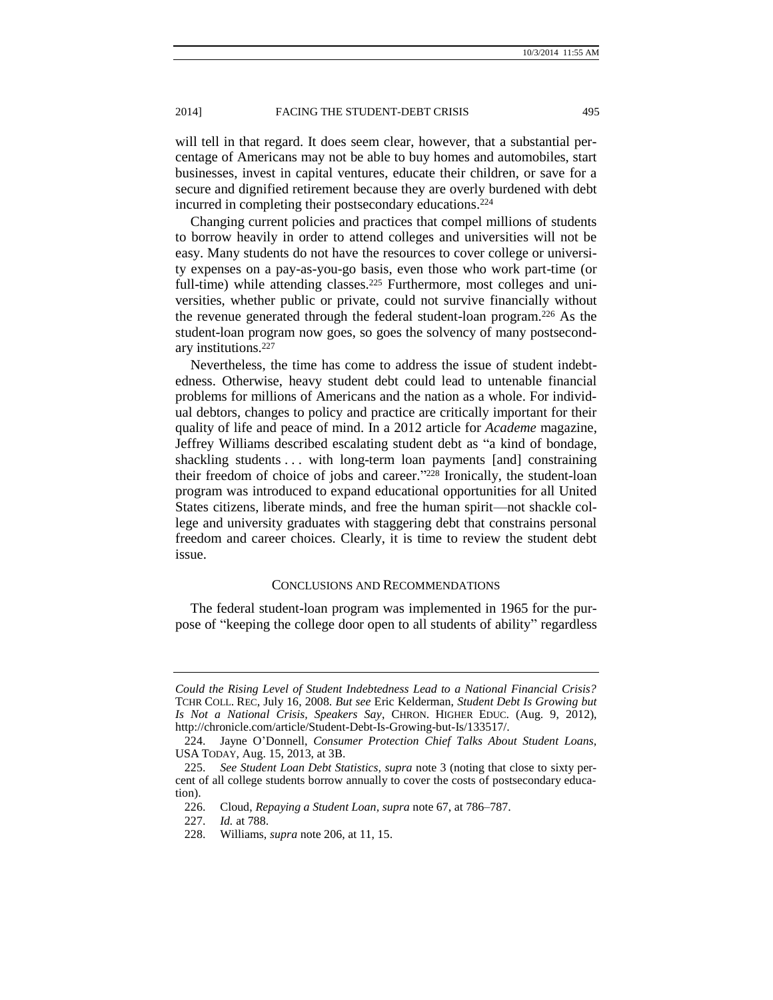will tell in that regard. It does seem clear, however, that a substantial percentage of Americans may not be able to buy homes and automobiles, start businesses, invest in capital ventures, educate their children, or save for a secure and dignified retirement because they are overly burdened with debt incurred in completing their postsecondary educations.<sup>224</sup>

Changing current policies and practices that compel millions of students to borrow heavily in order to attend colleges and universities will not be easy. Many students do not have the resources to cover college or university expenses on a pay-as-you-go basis, even those who work part-time (or full-time) while attending classes.<sup>225</sup> Furthermore, most colleges and universities, whether public or private, could not survive financially without the revenue generated through the federal student-loan program.<sup>226</sup> As the student-loan program now goes, so goes the solvency of many postsecondary institutions.<sup>227</sup>

Nevertheless, the time has come to address the issue of student indebtedness. Otherwise, heavy student debt could lead to untenable financial problems for millions of Americans and the nation as a whole. For individual debtors, changes to policy and practice are critically important for their quality of life and peace of mind. In a 2012 article for *Academe* magazine, Jeffrey Williams described escalating student debt as "a kind of bondage, shackling students . . . with long-term loan payments [and] constraining their freedom of choice of jobs and career." <sup>228</sup> Ironically, the student-loan program was introduced to expand educational opportunities for all United States citizens, liberate minds, and free the human spirit—not shackle college and university graduates with staggering debt that constrains personal freedom and career choices. Clearly, it is time to review the student debt issue.

#### CONCLUSIONS AND RECOMMENDATIONS

The federal student-loan program was implemented in 1965 for the purpose of "keeping the college door open to all students of ability" regardless

*Could the Rising Level of Student Indebtedness Lead to a National Financial Crisis?* TCHR COLL. REC, July 16, 2008. *But see* Eric Kelderman, *Student Debt Is Growing but Is Not a National Crisis, Speakers Say*, CHRON. HIGHER EDUC. (Aug. 9, 2012), http://chronicle.com/article/Student-Debt-Is-Growing-but-Is/133517/.

<sup>224.</sup> Jayne O'Donnell, *Consumer Protection Chief Talks About Student Loans,* USA TODAY, Aug. 15, 2013, at 3B.

<sup>225.</sup> *See Student Loan Debt Statistics, supra* not[e 3](#page-1-0) (noting that close to sixty percent of all college students borrow annually to cover the costs of postsecondary education).

<sup>226.</sup> Cloud, *Repaying a Student Loan, supra* not[e 67,](#page-8-0) at 786–787.

<sup>227.</sup> *Id.* at 788.

<sup>228.</sup> Williams, *supra* not[e 206,](#page-26-1) at 11, 15.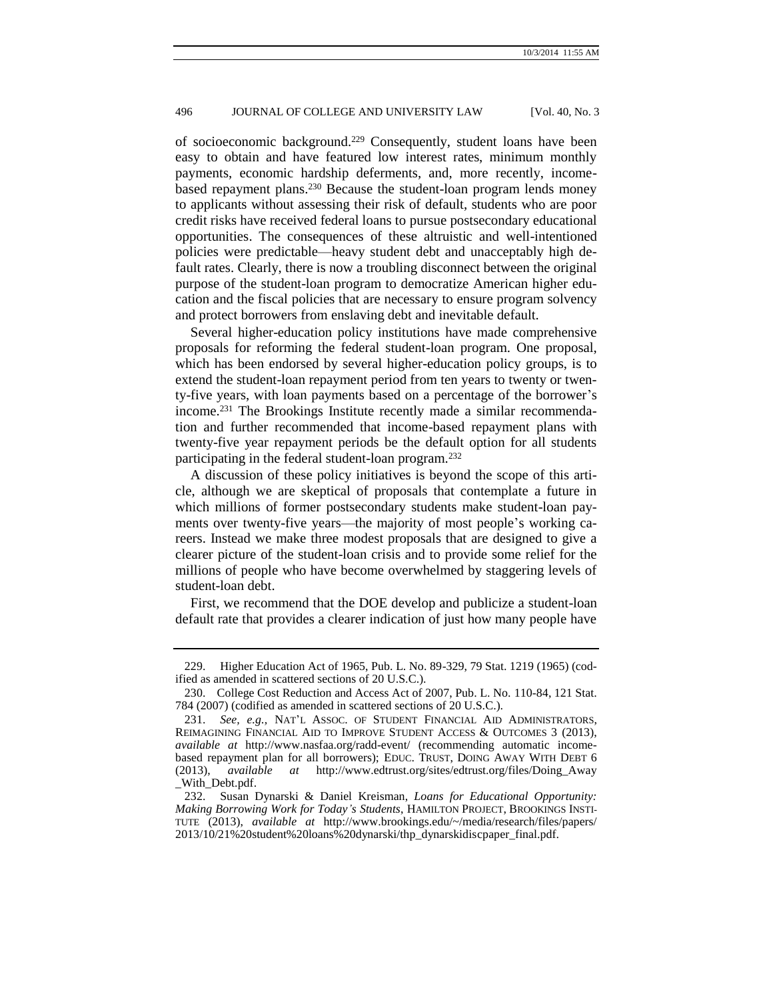of socioeconomic background.<sup>229</sup> Consequently, student loans have been easy to obtain and have featured low interest rates, minimum monthly payments, economic hardship deferments, and, more recently, incomebased repayment plans.<sup>230</sup> Because the student-loan program lends money to applicants without assessing their risk of default, students who are poor credit risks have received federal loans to pursue postsecondary educational opportunities. The consequences of these altruistic and well-intentioned policies were predictable—heavy student debt and unacceptably high default rates. Clearly, there is now a troubling disconnect between the original purpose of the student-loan program to democratize American higher education and the fiscal policies that are necessary to ensure program solvency and protect borrowers from enslaving debt and inevitable default.

Several higher-education policy institutions have made comprehensive proposals for reforming the federal student-loan program. One proposal, which has been endorsed by several higher-education policy groups, is to extend the student-loan repayment period from ten years to twenty or twenty-five years, with loan payments based on a percentage of the borrower's income.<sup>231</sup> The Brookings Institute recently made a similar recommendation and further recommended that income-based repayment plans with twenty-five year repayment periods be the default option for all students participating in the federal student-loan program.<sup>232</sup>

A discussion of these policy initiatives is beyond the scope of this article, although we are skeptical of proposals that contemplate a future in which millions of former postsecondary students make student-loan payments over twenty-five years—the majority of most people's working careers. Instead we make three modest proposals that are designed to give a clearer picture of the student-loan crisis and to provide some relief for the millions of people who have become overwhelmed by staggering levels of student-loan debt.

First, we recommend that the DOE develop and publicize a student-loan default rate that provides a clearer indication of just how many people have

<sup>229.</sup> Higher Education Act of 1965, Pub. L. No. 89-329, 79 Stat. 1219 (1965) (codified as amended in scattered sections of 20 U.S.C.).

<sup>230.</sup> College Cost Reduction and Access Act of 2007, Pub. L. No. 110-84, 121 Stat. 784 (2007) (codified as amended in scattered sections of 20 U.S.C.).

<sup>231.</sup> *See, e.g.,* NAT'L ASSOC. OF STUDENT FINANCIAL AID ADMINISTRATORS, REIMAGINING FINANCIAL AID TO IMPROVE STUDENT ACCESS & OUTCOMES 3 (2013), *available at* http://www.nasfaa.org/radd-event/ (recommending automatic incomebased repayment plan for all borrowers); EDUC. TRUST, DOING AWAY WITH DEBT 6 (2013), *available at* http://www.edtrust.org/sites/edtrust.org/files/Doing\_Away \_With\_Debt.pdf.

<sup>232.</sup> Susan Dynarski & Daniel Kreisman, *Loans for Educational Opportunity: Making Borrowing Work for Today's Students*, HAMILTON PROJECT, BROOKINGS INSTI-TUTE (2013), *available at* http://www.brookings.edu/~/media/research/files/papers/ 2013/10/21%20student%20loans%20dynarski/thp\_dynarskidiscpaper\_final.pdf.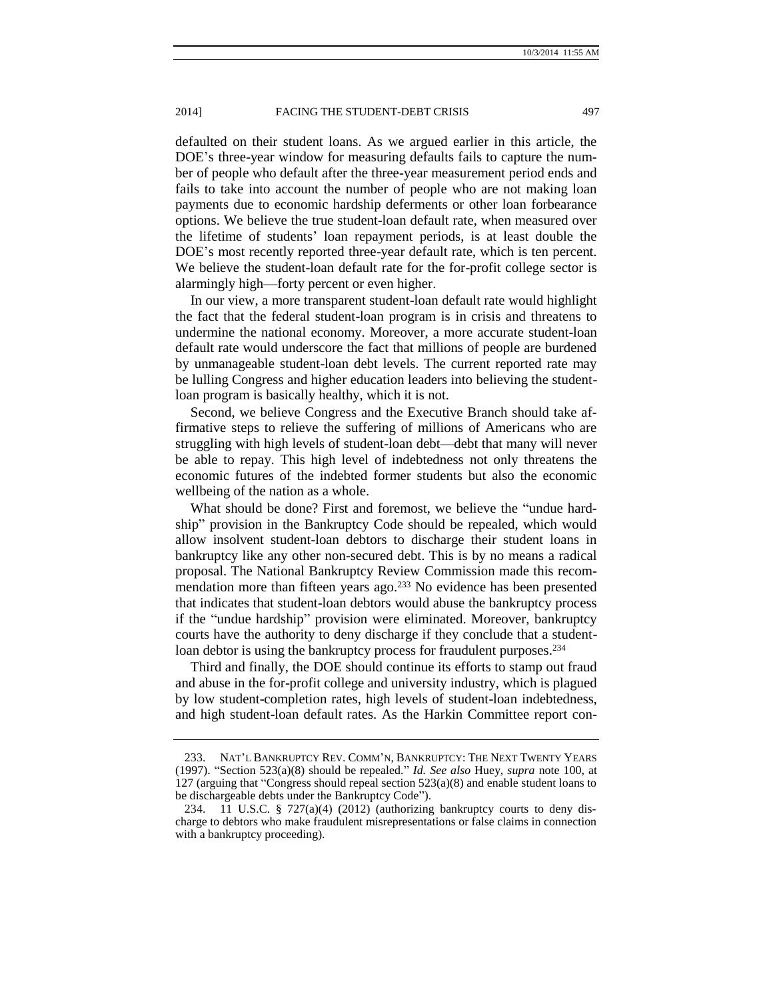defaulted on their student loans. As we argued earlier in this article, the DOE's three-year window for measuring defaults fails to capture the number of people who default after the three-year measurement period ends and fails to take into account the number of people who are not making loan payments due to economic hardship deferments or other loan forbearance options. We believe the true student-loan default rate, when measured over the lifetime of students' loan repayment periods, is at least double the DOE's most recently reported three-year default rate, which is ten percent. We believe the student-loan default rate for the for-profit college sector is alarmingly high—forty percent or even higher.

In our view, a more transparent student-loan default rate would highlight the fact that the federal student-loan program is in crisis and threatens to undermine the national economy. Moreover, a more accurate student-loan default rate would underscore the fact that millions of people are burdened by unmanageable student-loan debt levels. The current reported rate may be lulling Congress and higher education leaders into believing the studentloan program is basically healthy, which it is not.

Second, we believe Congress and the Executive Branch should take affirmative steps to relieve the suffering of millions of Americans who are struggling with high levels of student-loan debt—debt that many will never be able to repay. This high level of indebtedness not only threatens the economic futures of the indebted former students but also the economic wellbeing of the nation as a whole.

What should be done? First and foremost, we believe the "undue hardship" provision in the Bankruptcy Code should be repealed, which would allow insolvent student-loan debtors to discharge their student loans in bankruptcy like any other non-secured debt. This is by no means a radical proposal. The National Bankruptcy Review Commission made this recommendation more than fifteen years ago.<sup>233</sup> No evidence has been presented that indicates that student-loan debtors would abuse the bankruptcy process if the "undue hardship" provision were eliminated. Moreover, bankruptcy courts have the authority to deny discharge if they conclude that a studentloan debtor is using the bankruptcy process for fraudulent purposes.<sup>234</sup>

Third and finally, the DOE should continue its efforts to stamp out fraud and abuse in the for-profit college and university industry, which is plagued by low student-completion rates, high levels of student-loan indebtedness, and high student-loan default rates. As the Harkin Committee report con-

<sup>233.</sup> NAT'L BANKRUPTCY REV. COMM'N, BANKRUPTCY: THE NEXT TWENTY YEARS (1997). "Section 523(a)(8) should be repealed." *Id. See also* Huey, *supra* note [100,](#page-12-0) at 127 (arguing that "Congress should repeal section 523(a)(8) and enable student loans to be dischargeable debts under the Bankruptcy Code").

<sup>234. 11</sup> U.S.C. § 727(a)(4) (2012) (authorizing bankruptcy courts to deny discharge to debtors who make fraudulent misrepresentations or false claims in connection with a bankruptcy proceeding).